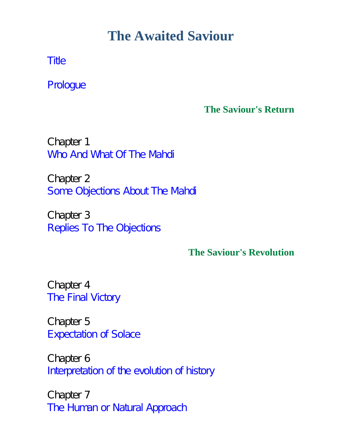### **The Awaited Saviour**

<span id="page-0-0"></span>**Title** 

[Prologue](#page-3-0)

**The Saviour's Return** 

Chapter 1 [Who And What Of The Mahdi](#page-14-0) 

Chapter 2 [Some Objections About The Mahdi](#page-18-0) 

Chapter 3 [Replies To The Objections](#page-22-0) 

**The Saviour's Revolution** 

Chapter 4 [The Final Victory](#page-58-0)

Chapter 5 [Expectation of Solace](#page-60-0) 

Chapter 6 [Interpretation of the evolution of history](#page-67-0) 

Chapter 7 [The Human or Natural Approach](#page-82-0)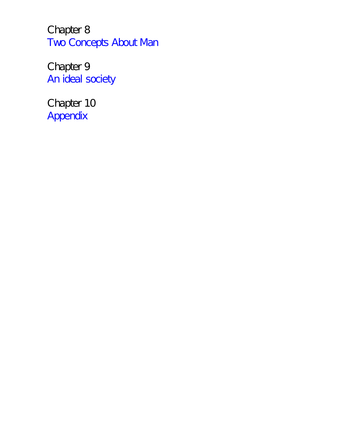Chapter 8 [Two Concepts About Man](#page-94-0) 

Chapter 9 [An ideal society](#page-98-0) 

Chapter 10 [Appendix](#page-106-0)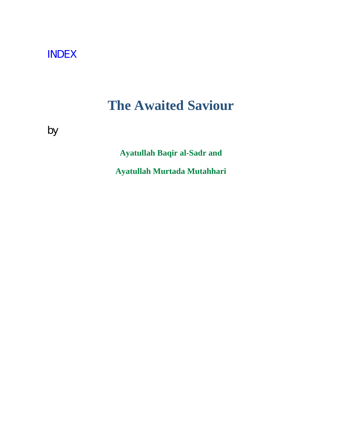<span id="page-2-0"></span>[INDEX](#page-0-0)

# **The Awaited Saviour**

by

**Ayatullah Baqir al-Sadr and Ayatullah Murtada Mutahhari**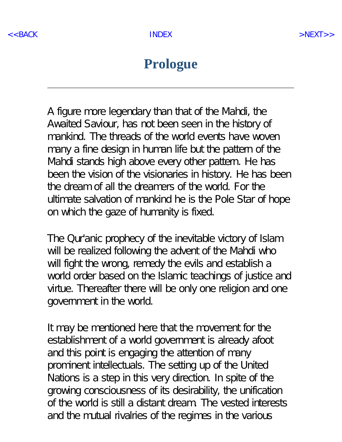## **Prologue**

<span id="page-3-0"></span>A figure more legendary than that of the Mahdi, the Awaited Saviour, has not been seen in the history of mankind. The threads of the world events have woven many a fine design in human life but the pattern of the Mahdi stands high above every other pattern. He has been the vision of the visionaries in history. He has been the dream of all the dreamers of the world. For the ultimate salvation of mankind he is the Pole Star of hope on which the gaze of humanity is fixed.

The Qur'anic prophecy of the inevitable victory of Islam will be realized following the advent of the Mahdi who will fight the wrong, remedy the evils and establish a world order based on the Islamic teachings of justice and virtue. Thereafter there will be only one religion and one government in the world.

It may be mentioned here that the movement for the establishment of a world government is already afoot and this point is engaging the attention of many prominent intellectuals. The setting up of the United Nations is a step in this very direction. In spite of the growing consciousness of its desirability, the unification of the world is still a distant dream. The vested interests and the mutual rivalries of the regimes in the various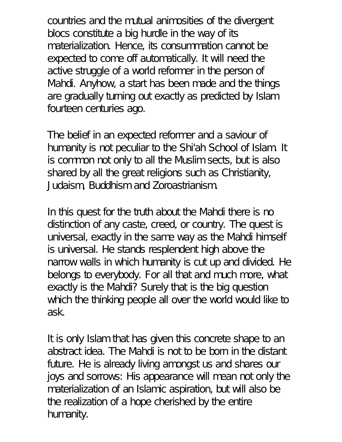countries and the mutual animosities of the divergent blocs constitute a big hurdle in the way of its materialization. Hence, its consummation cannot be expected to come off automatically. It will need the active struggle of a world reformer in the person of Mahdi. Anyhow, a start has been made and the things are gradually turning out exactly as predicted by Islam fourteen centuries ago.

The belief in an expected reformer and a saviour of humanity is not peculiar to the Shi'ah School of Islam. It is common not only to all the Muslim sects, but is also shared by all the great religions such as Christianity, Judaism, Buddhism and Zoroastrianism.

In this quest for the truth about the Mahdi there is no distinction of any caste, creed, or country. The quest is universal, exactly in the same way as the Mahdi himself is universal. He stands resplendent high above the narrow walls in which humanity is cut up and divided. He belongs to everybody. For all that and much more, what exactly is the Mahdi? Surely that is the big question which the thinking people all over the world would like to ask.

It is only Islam that has given this concrete shape to an abstract idea. The Mahdi is not to be born in the distant future. He is already living amongst us and shares our joys and sorrows: His appearance will mean not only the materialization of an Islamic aspiration, but will also be the realization of a hope cherished by the entire humanity.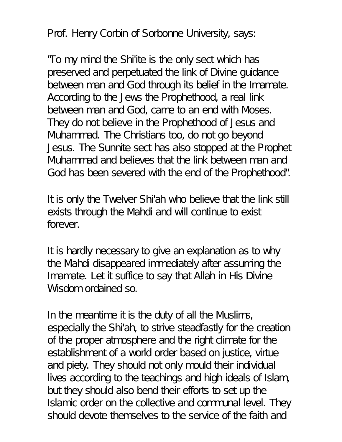Prof. Henry Corbin of Sorbonne University, says:

"To my mind the Shi'ite is the only sect which has preserved and perpetuated the link of Divine guidance between man and God through its belief in the Imamate. According to the Jews the Prophethood, a real link between man and God, came to an end with Moses. They do not believe in the Prophethood of Jesus and Muhammad. The Christians too, do not go beyond Jesus. The Sunnite sect has also stopped at the Prophet Muhammad and believes that the link between man and God has been severed with the end of the Prophethood".

It is only the Twelver Shi'ah who believe that the link still exists through the Mahdi and will continue to exist forever.

It is hardly necessary to give an explanation as to why the Mahdi disappeared immediately after assuming the Imamate. Let it suffice to say that Allah in His Divine Wisdom ordained so.

In the meantime it is the duty of all the Muslims, especially the Shi'ah, to strive steadfastly for the creation of the proper atmosphere and the right climate for the establishment of a world order based on justice, virtue and piety. They should not only mould their individual lives according to the teachings and high ideals of Islam, but they should also bend their efforts to set up the Islamic order on the collective and communal level. They should devote themselves to the service of the faith and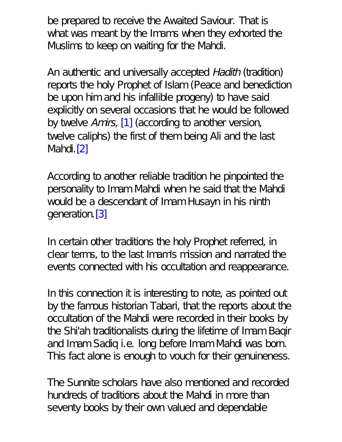be prepared to receive the Awaited Saviour. That is what was meant by the Imams when they exhorted the Muslims to keep on waiting for the Mahdi.

An authentic and universally accepted Hadith (tradition) reports the holy Prophet of Islam (Peace and benediction be upon him and his infallible progeny) to have said explicitly on several occasions that he would be followed by twelve Amirs, [\[1\]](#page-12-0) (according to another version, twelve caliphs) the first of them being Ali and the last Mahdi.[\[2\]](#page-12-1)

<span id="page-6-1"></span><span id="page-6-0"></span>According to another reliable tradition he pinpointed the personality to Imam Mahdi when he said that the Mahdi would be a descendant of Imam Husayn in his ninth generation.[\[3\]](#page-12-2)

<span id="page-6-2"></span>In certain other traditions the holy Prophet referred, in clear terms, to the last Imam's mission and narrated the events connected with his occultation and reappearance.

In this connection it is interesting to note, as pointed out by the famous historian Tabari, that the reports about the occultation of the Mahdi were recorded in their books by the Shi'ah traditionalists during the lifetime of Imam Baqir and Imam Sadiq i.e. long before Imam Mahdi was born. This fact alone is enough to vouch for their genuineness.

The Sunnite scholars have also mentioned and recorded hundreds of traditions about the Mahdi in more than seventy books by their own valued and dependable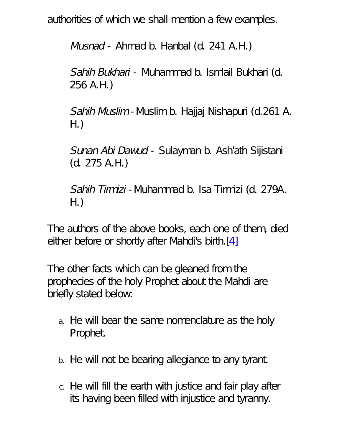authorities of which we shall mention a few examples.

Musnad - Ahmad b. Hanbal (d. 241 A.H.)

Sahih Bukhari - Muhammad b. Ism'ail Bukhari (d. 256 A.H.)

Sahih Muslim - Muslim b. Hajjaj Nishapuri (d.261 A. H.)

Sunan Abi Dawud - Sulayman b. Ash'ath Sijistani (d. 275 A.H.)

Sahih Tirmizi -Muhammad b. Isa Tirmizi (d. 279A. H.)

The authors of the above books, each one of them, died either before or shortly after Mahdi's birth.<sup>[4]</sup>

<span id="page-7-0"></span>The other facts which can be gleaned from the prophecies of the holy Prophet about the Mahdi are briefly stated below:

- a. He will bear the same nomenclature as the holy Prophet.
- b. He will not be bearing allegiance to any tyrant.
- c. He will fill the earth with justice and fair play after its having been filled with injustice and tyranny.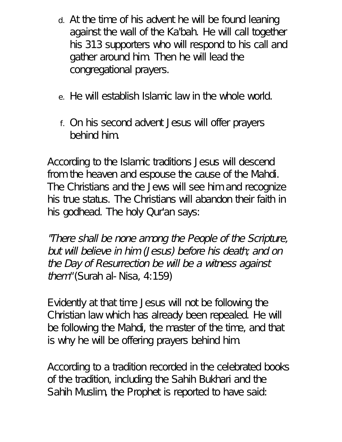- d. At the time of his advent he will be found leaning against the wall of the Ka'bah. He will call together his 313 supporters who will respond to his call and gather around him. Then he will lead the congregational prayers.
- e. He will establish Islamic law in the whole world.
- f. On his second advent Jesus will offer prayers behind him.

According to the Islamic traditions Jesus will descend from the heaven and espouse the cause of the Mahdi. The Christians and the Jews will see him and recognize his true status. The Christians will abandon their faith in his godhead. The holy Qur'an says:

"There shall be none among the People of the Scripture, but will believe in him (Jesus) before his death; and on the Day of Resurrection be will be a witness against them" (Surah al-Nisa, 4:159)

Evidently at that time Jesus will not be following the Christian law which has already been repealed. He will be following the Mahdi, the master of the time, and that is why he will be offering prayers behind him.

According to a tradition recorded in the celebrated books of the tradition, including the Sahih Bukhari and the Sahih Muslim, the Prophet is reported to have said: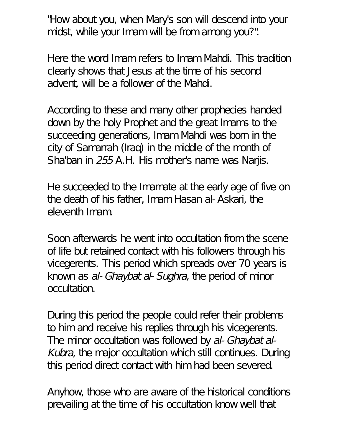"How about you, when Mary's son will descend into your midst, while your Imam will be from among you?".

Here the word Imam refers to Imam Mahdi. This tradition clearly shows that Jesus at the time of his second advent, will be a follower of the Mahdi.

According to these and many other prophecies handed down by the holy Prophet and the great Imams to the succeeding generations, Imam Mahdi was born in the city of Samarrah (Iraq) in the middle of the month of Sha'ban in 255 A.H. His mother's name was Narjis.

He succeeded to the Imamate at the early age of five on the death of his father, Imam Hasan al-Askari, the eleventh Imam.

Soon afterwards he went into occultation from the scene of life but retained contact with his followers through his vicegerents. This period which spreads over 70 years is known as al-Ghaybat al-Sughra, the period of minor occultation.

During this period the people could refer their problems to him and receive his replies through his vicegerents. The minor occultation was followed by al-Ghaybat al-Kubra, the major occultation which still continues. During this period direct contact with him had been severed.

Anyhow, those who are aware of the historical conditions prevailing at the time of his occultation know well that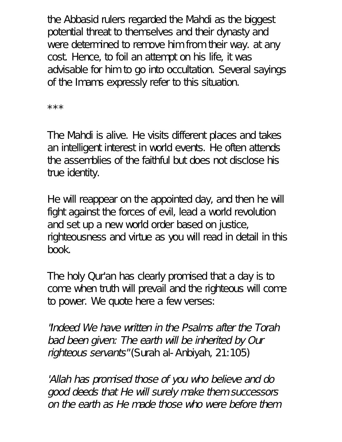the Abbasid rulers regarded the Mahdi as the biggest potential threat to themselves and their dynasty and were determined to remove him from their way. at any cost. Hence, to foil an attempt on his life, it was advisable for him to go into occultation. Several sayings of the Imams expressly refer to this situation.

\*\*\*

The Mahdi is alive. He visits different places and takes an intelligent interest in world events. He often attends the assemblies of the faithful but does not disclose his true identity.

He will reappear on the appointed day, and then he will fight against the forces of evil, lead a world revolution and set up a new world order based on justice, righteousness and virtue as you will read in detail in this book.

The holy Qur'an has clearly promised that a day is to come when truth will prevail and the righteous will come to power. We quote here a few verses:

"Indeed We have written in the Psalms after the Torah bad been given: The earth will be inherited by Our righteous servants" (Surah al-Anbiyah, 21:105)

'Allah has promised those of you who believe and do good deeds that He will surely make them successors on the earth as He made those who were before them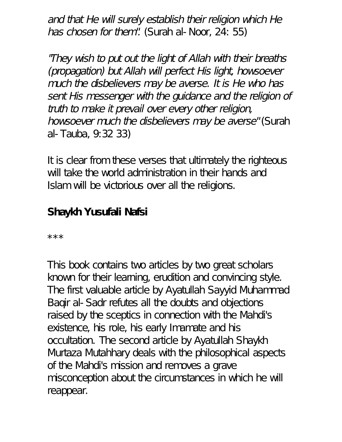and that He will surely establish their religion which He has chosen for them". (Surah al-Noor, 24: 55)

"They wish to put out the light of Allah with their breaths (propagation) but Allah will perfect His light, howsoever much the disbelievers may be averse. It is He who has sent His messenger with the guidance and the religion of truth to make it prevail over every other religion, howsoever much the disbelievers may be averse" (Surah al-Tauba, 9:32 33)

It is clear from these verses that ultimately the righteous will take the world administration in their hands and Islam will be victorious over all the religions.

### **Shaykh Yusufali Nafsi**

\*\*\*

This book contains two articles by two great scholars known for their learning, erudition and convincing style. The first valuable article by Ayatullah Sayyid Muhammad Baqir al-Sadr refutes all the doubts and objections raised by the sceptics in connection with the Mahdi's existence, his role, his early Imamate and his occultation. The second article by Ayatullah Shaykh Murtaza Mutahhary deals with the philosophical aspects of the Mahdi's mission and removes a grave misconception about the circumstances in which he will reappear.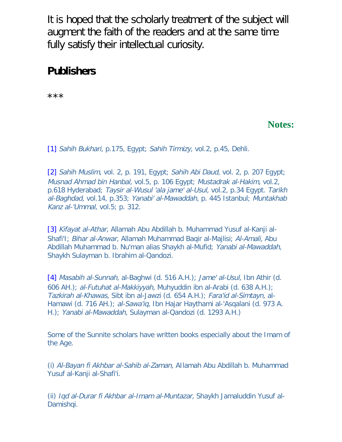It is hoped that the scholarly treatment of the subject will augment the faith of the readers and at the same time fully satisfy their intellectual curiosity.

### **Publishers**

\*\*\*

#### **Notes:**

<span id="page-12-0"></span>[\[1\]](#page-6-0) Sahih Bukhari, p.175, Egypt; Sahih Tirmizy, vol.2, p.45, Dehli.

<span id="page-12-1"></span>[\[2\]](#page-6-1) Sahih Muslim, vol. 2, p. 191, Egypt; Sahih Abi Daud, vol. 2, p. 207 Egypt; Musnad Ahmad bin Hanbal, vol.5, p. 106 Egypt; Mustadrak al-Hakim, vol.2, p.618 Hyderabad; Taysir al-Wusul 'ala jame' al-Usul, vol.2, p.34 Egypt. Tarikh al-Baghdad, vol.14, p.353; Yanabi' al-Mawaddah, p. 445 Istanbul; Muntakhab Kanz al-'Ummal, vol.5; p. 312.

<span id="page-12-2"></span>[\[3\]](#page-6-2) Kifayat al-Athar, Allamah Abu Abdillah b. Muhammad Yusuf al-Kanji al-Shafi'I; Bihar al-Anwar, Allamah Muhammad Baqir al-Majlisi; Al-Amali, Abu Abdillah Muhammad b. Nu'man alias Shaykh al-Mufid; Yanabi al-Mawaddah, Shaykh Sulayman b. Ibrahim al-Qandozi.

<span id="page-12-3"></span>[\[4\]](#page-7-0) Masabih al-Sunnah, al-Baghwi (d. 516 A.H.); Jame' al-Usul, Ibn Athir (d. 606 AH.); al-Futuhat al-Makkiyyah, Muhyuddin ibn al-Arabi (d. 638 A.H.); Tazkirah al-Khawas, Sibt ibn al-Jawzi (d. 654 A.H.); Fara'id al-Simtayn, al-Hamawi (d. 716 AH.); al-Sawa'iq, Ibn Hajar Haythami al-'Asqalani (d. 973 A. H.); Yanabi al-Mawaddah, Sulayman al-Qandozi (d. 1293 A.H.)

Some of the Sunnite scholars have written books especially about the Imam of the Age.

(i) Al-Bayan fi Akhbar al-Sahib al-Zaman, AIlamah Abu Abdillah b. Muhammad Yusuf al-Kanji al-Shafi'i.

(ii) Iqd al-Durar fi Akhbar al-Imam al-Muntazar, Shaykh Jamaluddin Yusuf al-Damishqi.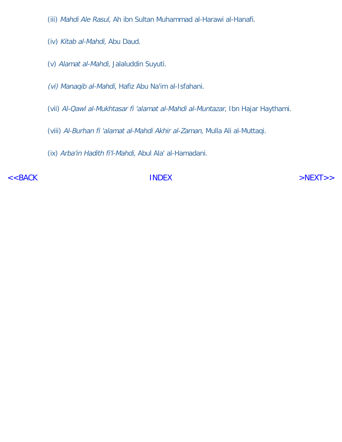(iii) Mahdi Ale Rasul, Ah ibn Sultan Muhammad al-Harawi al-Hanafi.

- (iv) Kitab al-Mahdi, Abu Daud.
- (v) Alamat al-Mahdi, Jalaluddin Suyuti.
- (vi) Manaqib al-Mahdi, Hafiz Abu Na'im al-Isfahani.
- (vii) Al-Qawl al-Mukhtasar fi 'alamat al-Mahdi al-Muntazar, Ibn Hajar Haythami.
- (viii) Al-Burhan fi 'alamat al-Mahdi Akhir al-Zaman, Mulla Ali al-Muttaqi.
- (ix) Arba'in Hadith fi'l-Mahdi, Abul Ala' al-Hamadani.

[<<BACK](#page-2-0) NEXT>>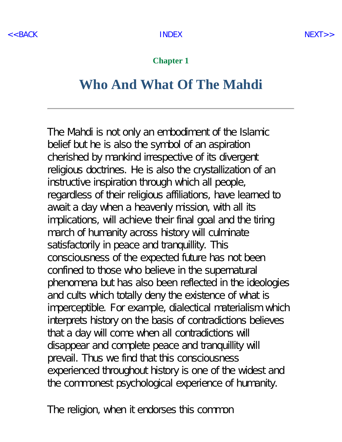#### **Chapter 1**

## <span id="page-14-0"></span>**Who And What Of The Mahdi**

The Mahdi is not only an embodiment of the Islamic belief but he is also the symbol of an aspiration cherished by mankind irrespective of its divergent religious doctrines. He is also the crystallization of an instructive inspiration through which all people, regardless of their religious affiliations, have learned to await a day when a heavenly mission, with all its implications, will achieve their final goal and the tiring march of humanity across history will culminate satisfactorily in peace and tranquillity. This consciousness of the expected future has not been confined to those who believe in the supernatural phenomena but has also been reflected in the ideologies and cults which totally deny the existence of what is imperceptible. For example, dialectical materialism which interprets history on the basis of contradictions believes that a day will come when all contradictions will disappear and complete peace and tranquillity will prevail. Thus we find that this consciousness experienced throughout history is one of the widest and the commonest psychological experience of humanity.

The religion, when it endorses this common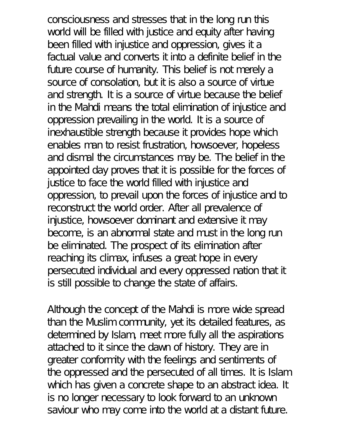consciousness and stresses that in the long run this world will be filled with justice and equity after having been filled with injustice and oppression, gives it a factual value and converts it into a definite belief in the future course of humanity. This belief is not merely a source of consolation, but it is also a source of virtue and strength. It is a source of virtue because the belief in the Mahdi means the total elimination of injustice and oppression prevailing in the world. It is a source of inexhaustible strength because it provides hope which enables man to resist frustration, howsoever, hopeless and dismal the circumstances may be. The belief in the appointed day proves that it is possible for the forces of justice to face the world filled with injustice and oppression, to prevail upon the forces of injustice and to reconstruct the world order. After all prevalence of injustice, howsoever dominant and extensive it may become, is an abnormal state and must in the long run be eliminated. The prospect of its elimination after reaching its climax, infuses a great hope in every persecuted individual and every oppressed nation that it is still possible to change the state of affairs.

Although the concept of the Mahdi is more wide spread than the Muslim community, yet its detailed features, as determined by Islam, meet more fully all the aspirations attached to it since the dawn of history. They are in greater conformity with the feelings and sentiments of the oppressed and the persecuted of all times. It is Islam which has given a concrete shape to an abstract idea. It is no longer necessary to look forward to an unknown saviour who may come into the world at a distant future.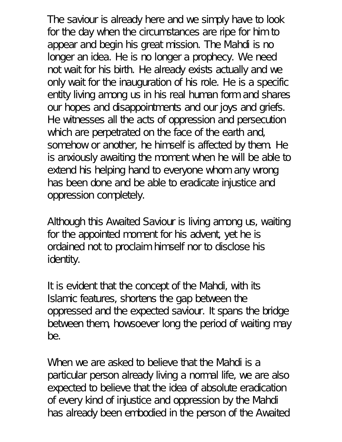The saviour is already here and we simply have to look for the day when the circumstances are ripe for him to appear and begin his great mission. The Mahdi is no longer an idea. He is no longer a prophecy. We need not wait for his birth. He already exists actually and we only wait for the inauguration of his role. He is a specific entity living among us in his real human form and shares our hopes and disappointments and our joys and griefs. He witnesses all the acts of oppression and persecution which are perpetrated on the face of the earth and, somehow or another, he himself is affected by them. He is anxiously awaiting the moment when he will be able to extend his helping hand to everyone whom any wrong has been done and be able to eradicate injustice and oppression completely.

Although this Awaited Saviour is living among us, waiting for the appointed moment for his advent, yet he is ordained not to proclaim himself nor to disclose his identity.

It is evident that the concept of the Mahdi, with its Islamic features, shortens the gap between the oppressed and the expected saviour. It spans the bridge between them, howsoever long the period of waiting may be.

When we are asked to believe that the Mahdi is a particular person already living a normal life, we are also expected to believe that the idea of absolute eradication of every kind of injustice and oppression by the Mahdi has already been embodied in the person of the Awaited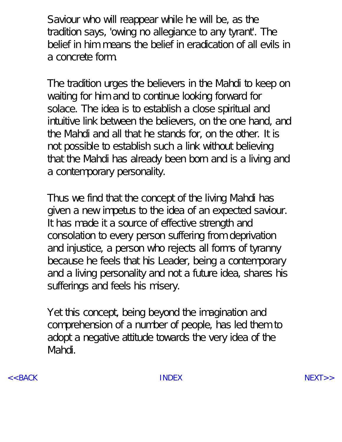Saviour who will reappear while he will be, as the tradition says, 'owing no allegiance to any tyrant'. The belief in him means the belief in eradication of all evils in a concrete form.

The tradition urges the believers in the Mahdi to keep on waiting for him and to continue looking forward for solace. The idea is to establish a close spiritual and intuitive link between the believers, on the one hand, and the Mahdi and all that he stands for, on the other. It is not possible to establish such a link without believing that the Mahdi has already been born and is a living and a contemporary personality.

Thus we find that the concept of the living Mahdi has given a new impetus to the idea of an expected saviour. It has made it a source of effective strength and consolation to every person suffering from deprivation and injustice, a person who rejects all forms of tyranny because he feels that his Leader, being a contemporary and a living personality and not a future idea, shares his sufferings and feels his misery.

Yet this concept, being beyond the imagination and comprehension of a number of people, has led them to adopt a negative attitude towards the very idea of the Mahdi.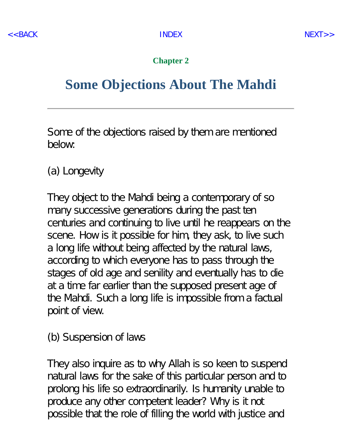#### **Chapter 2**

## <span id="page-18-0"></span>**Some Objections About The Mahdi**

Some of the objections raised by them are mentioned below:

(a) Longevity

They object to the Mahdi being a contemporary of so many successive generations during the past ten centuries and continuing to live until he reappears on the scene. How is it possible for him, they ask, to live such a long life without being affected by the natural laws, according to which everyone has to pass through the stages of old age and senility and eventually has to die at a time far earlier than the supposed present age of the Mahdi. Such a long life is impossible from a factual point of view.

(b) Suspension of laws

They also inquire as to why Allah is so keen to suspend natural laws for the sake of this particular person and to prolong his life so extraordinarily. Is humanity unable to produce any other competent leader? Why is it not possible that the role of filling the world with justice and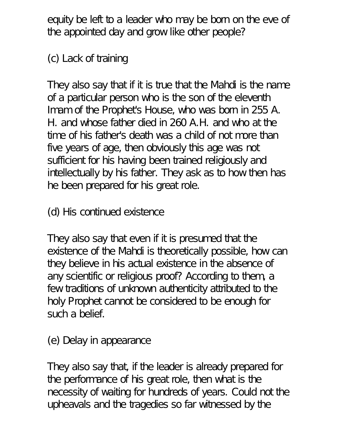equity be left to a leader who may be born on the eve of the appointed day and grow like other people?

### (c) Lack of training

They also say that if it is true that the Mahdi is the name of a particular person who is the son of the eleventh Imam of the Prophet's House, who was born in 255 A. H. and whose father died in 260 A.H. and who at the time of his father's death was a child of not more than five years of age, then obviously this age was not sufficient for his having been trained religiously and intellectually by his father. They ask as to how then has he been prepared for his great role.

(d) His continued existence

They also say that even if it is presumed that the existence of the Mahdi is theoretically possible, how can they believe in his actual existence in the absence of any scientific or religious proof? According to them, a few traditions of unknown authenticity attributed to the holy Prophet cannot be considered to be enough for such a belief.

(e) Delay in appearance

They also say that, if the leader is already prepared for the performance of his great role, then what is the necessity of waiting for hundreds of years. Could not the upheavals and the tragedies so far witnessed by the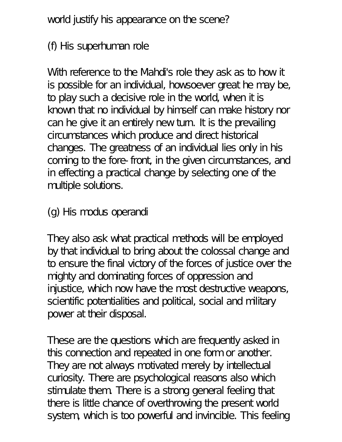world justify his appearance on the scene?

### (f) His superhuman role

With reference to the Mahdi's role they ask as to how it is possible for an individual, howsoever great he may be, to play such a decisive role in the world, when it is known that no individual by himself can make history nor can he give it an entirely new turn. It is the prevailing circumstances which produce and direct historical changes. The greatness of an individual lies only in his coming to the fore-front, in the given circumstances, and in effecting a practical change by selecting one of the multiple solutions.

### (g) His modus operandi

They also ask what practical methods will be employed by that individual to bring about the colossal change and to ensure the final victory of the forces of justice over the mighty and dominating forces of oppression and injustice, which now have the most destructive weapons, scientific potentialities and political, social and military power at their disposal.

These are the questions which are frequently asked in this connection and repeated in one form or another. They are not always motivated merely by intellectual curiosity. There are psychological reasons also which stimulate them. There is a strong general feeling that there is little chance of overthrowing the present world system, which is too powerful and invincible. This feeling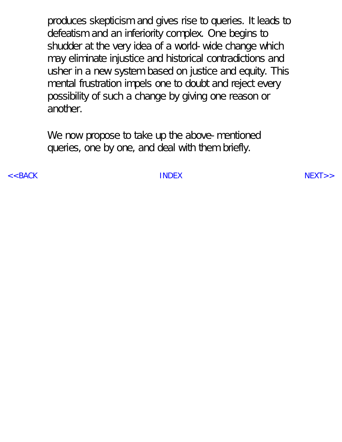produces skepticism and gives rise to queries. It leads to defeatism and an inferiority complex. One begins to shudder at the very idea of a world-wide change which may eliminate injustice and historical contradictions and usher in a new system based on justice and equity. This mental frustration impels one to doubt and reject every possibility of such a change by giving one reason or another.

We now propose to take up the above-mentioned queries, one by one, and deal with them briefly.

[<<BACK](#page-14-0) [INDEX](#page-0-0) [NEXT>>](#page-22-0)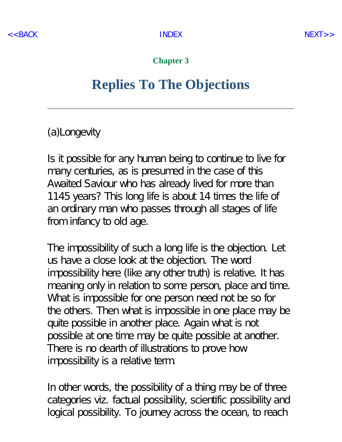#### **Chapter 3**

# <span id="page-22-0"></span>**Replies To The Objections**

(a)Longevity

Is it possible for any human being to continue to live for many centuries, as is presumed in the case of this Awaited Saviour who has already lived for more than 1145 years? This long life is about 14 times the life of an ordinary man who passes through all stages of life from infancy to old age.

The impossibility of such a long life is the objection. Let us have a close look at the objection. The word impossibility here (like any other truth) is relative. It has meaning only in relation to some person, place and time. What is impossible for one person need not be so for the others. Then what is impossible in one place may be quite possible in another place. Again what is not possible at one time may be quite possible at another. There is no dearth of illustrations to prove how impossibility is a relative term.

In other words, the possibility of a thing may be of three categories viz. factual possibility, scientific possibility and logical possibility. To journey across the ocean, to reach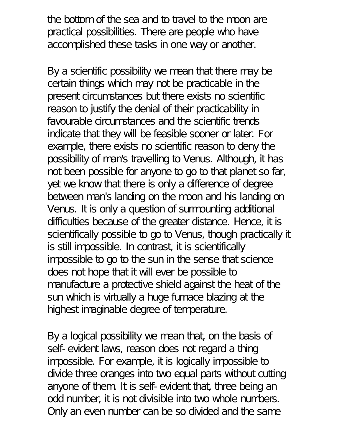the bottom of the sea and to travel to the moon are practical possibilities. There are people who have accomplished these tasks in one way or another.

By a scientific possibility we mean that there may be certain things which may not be practicable in the present circumstances but there exists no scientific reason to justify the denial of their practicability in favourable circumstances and the scientific trends indicate that they will be feasible sooner or later. For example, there exists no scientific reason to deny the possibility of man's travelling to Venus. Although, it has not been possible for anyone to go to that planet so far, yet we know that there is only a difference of degree between man's landing on the moon and his landing on Venus. It is only a question of surmounting additional difficulties because of the greater distance. Hence, it is scientifically possible to go to Venus, though practically it is still impossible. In contrast, it is scientifically impossible to go to the sun in the sense that science does not hope that it will ever be possible to manufacture a protective shield against the heat of the sun which is virtually a huge furnace blazing at the highest imaginable degree of temperature.

By a logical possibility we mean that, on the basis of self-evident laws, reason does not regard a thing impossible. For example, it is logically impossible to divide three oranges into two equal parts without cutting anyone of them. It is self-evident that, three being an odd number, it is not divisible into two whole numbers. Only an even number can be so divided and the same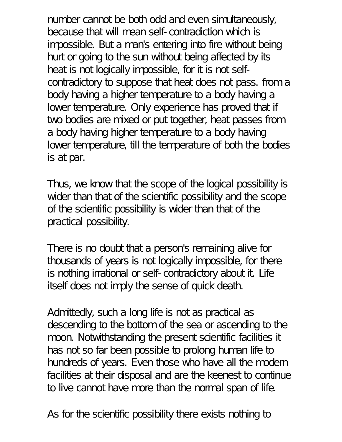number cannot be both odd and even simultaneously, because that will mean self-contradiction which is impossible. But a man's entering into fire without being hurt or going to the sun without being affected by its heat is not logically impossible, for it is not selfcontradictory to suppose that heat does not pass. from a body having a higher temperature to a body having a lower temperature. Only experience has proved that if two bodies are mixed or put together, heat passes from a body having higher temperature to a body having lower temperature, till the temperature of both the bodies is at par.

Thus, we know that the scope of the logical possibility is wider than that of the scientific possibility and the scope of the scientific possibility is wider than that of the practical possibility.

There is no doubt that a person's remaining alive for thousands of years is not logically impossible, for there is nothing irrational or self-contradictory about it. Life itself does not imply the sense of quick death.

Admittedly, such a long life is not as practical as descending to the bottom of the sea or ascending to the moon. Notwithstanding the present scientific facilities it has not so far been possible to prolong human life to hundreds of years. Even those who have all the modern facilities at their disposal and are the keenest to continue to live cannot have more than the normal span of life.

As for the scientific possibility there exists nothing to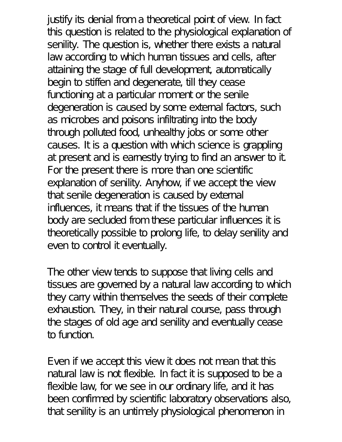justify its denial from a theoretical point of view. In fact this question is related to the physiological explanation of senility. The question is, whether there exists a natural law according to which human tissues and cells, after attaining the stage of full development, automatically begin to stiffen and degenerate, till they cease functioning at a particular moment or the senile degeneration is caused by some external factors, such as microbes and poisons infiltrating into the body through polluted food, unhealthy jobs or some other causes. It is a question with which science is grappling at present and is earnestly trying to find an answer to it. For the present there is more than one scientific explanation of senility. Anyhow, if we accept the view that senile degeneration is caused by external influences, it means that if the tissues of the human body are secluded from these particular influences it is theoretically possible to prolong life, to delay senility and even to control it eventually.

The other view tends to suppose that living cells and tissues are governed by a natural law according to which they carry within themselves the seeds of their complete exhaustion. They, in their natural course, pass through the stages of old age and senility and eventually cease to function.

Even if we accept this view it does not mean that this natural law is not flexible. In fact it is supposed to be a flexible law, for we see in our ordinary life, and it has been confirmed by scientific laboratory observations also, that senility is an untimely physiological phenomenon in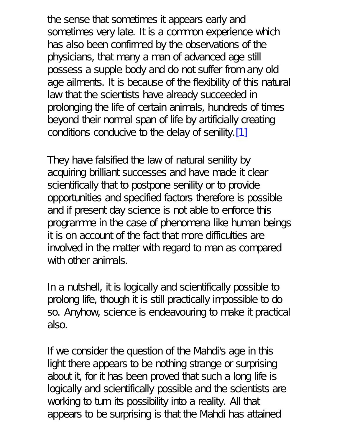the sense that sometimes it appears early and sometimes very late. It is a common experience which has also been confirmed by the observations of the physicians, that many a man of advanced age still possess a supple body and do not suffer from any old age ailments. It is because of the flexibility of this natural law that the scientists have already succeeded in prolonging the life of certain animals, hundreds of times beyond their normal span of life by artificially creating conditions conducive to the delay of senility.[\[1\]](#page-56-0)

They have falsified the law of natural senility by acquiring brilliant successes and have made it clear scientifically that to postpone senility or to provide opportunities and specified factors therefore is possible and if present day science is not able to enforce this programme in the case of phenomena like human beings it is on account of the fact that more difficulties are involved in the matter with regard to man as compared with other animals.

In a nutshell, it is logically and scientifically possible to prolong life, though it is still practically impossible to do so. Anyhow, science is endeavouring to make it practical also.

If we consider the question of the Mahdi's age in this light there appears to be nothing strange or surprising about it, for it has been proved that such a long life is logically and scientifically possible and the scientists are working to turn its possibility into a reality. All that appears to be surprising is that the Mahdi has attained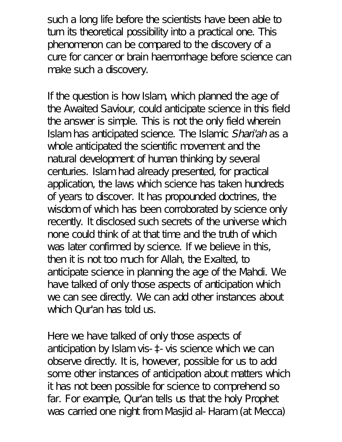such a long life before the scientists have been able to turn its theoretical possibility into a practical one. This phenomenon can be compared to the discovery of a cure for cancer or brain haemorrhage before science can make such a discovery.

If the question is how Islam, which planned the age of the Awaited Saviour, could anticipate science in this field the answer is simple. This is not the only field wherein Islam has anticipated science. The Islamic Shari'ah as a whole anticipated the scientific movement and the natural development of human thinking by several centuries. Islam had already presented, for practical application, the laws which science has taken hundreds of years to discover. It has propounded doctrines, the wisdom of which has been corroborated by science only recently. It disclosed such secrets of the universe which none could think of at that time and the truth of which was later confirmed by science. If we believe in this, then it is not too much for Allah, the Exalted, to anticipate science in planning the age of the Mahdi. We have talked of only those aspects of anticipation which we can see directly. We can add other instances about which Qur'an has told us.

Here we have talked of only those aspects of anticipation by Islam vis-à-vis science which we can observe directly. It is, however, possible for us to add some other instances of anticipation about matters which it has not been possible for science to comprehend so far. For example, Qur'an tells us that the holy Prophet was carried one night from Masjid al-Haram (at Mecca)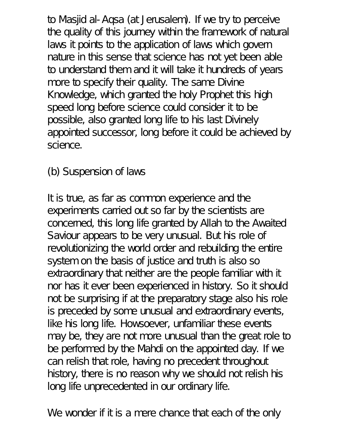to Masjid al-Aqsa (at Jerusalem). If we try to perceive the quality of this journey within the framework of natural laws it points to the application of laws which govern nature in this sense that science has not yet been able to understand them and it will take it hundreds of years more to specify their quality. The same Divine Knowledge, which granted the holy Prophet this high speed long before science could consider it to be possible, also granted long life to his last Divinely appointed successor, long before it could be achieved by science.

(b) Suspension of laws

It is true, as far as common experience and the experiments carried out so far by the scientists are concerned, this long life granted by Allah to the Awaited Saviour appears to be very unusual. But his role of revolutionizing the world order and rebuilding the entire system on the basis of justice and truth is also so extraordinary that neither are the people familiar with it nor has it ever been experienced in history. So it should not be surprising if at the preparatory stage also his role is preceded by some unusual and extraordinary events, like his long life. Howsoever, unfamiliar these events may be, they are not more unusual than the great role to be performed by the Mahdi on the appointed day. If we can relish that role, having no precedent throughout history, there is no reason why we should not relish his long life unprecedented in our ordinary life.

We wonder if it is a mere chance that each of the only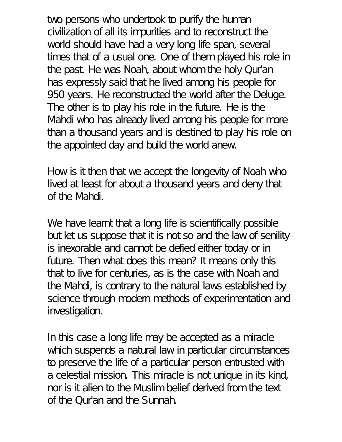two persons who undertook to purify the human civilization of all its impurities and to reconstruct the world should have had a very long life span, several times that of a usual one. One of them played his role in the past. He was Noah, about whom the holy Qur'an has expressly said that he lived among his people for 950 years. He reconstructed the world after the Deluge. The other is to play his role in the future. He is the Mahdi who has already lived among his people for more than a thousand years and is destined to play his role on the appointed day and build the world anew.

How is it then that we accept the longevity of Noah who lived at least for about a thousand years and deny that of the Mahdi.

We have learnt that a long life is scientifically possible but let us suppose that it is not so and the law of senility is inexorable and cannot be defied either today or in future. Then what does this mean? It means only this that to live for centuries, as is the case with Noah and the Mahdi, is contrary to the natural laws established by science through modern methods of experimentation and investigation.

In this case a long life may be accepted as a miracle which suspends a natural law in particular circumstances to preserve the life of a particular person entrusted with a celestial mission. This miracle is not unique in its kind, nor is it alien to the Muslim belief derived from the text of the Qur'an and the Sunnah.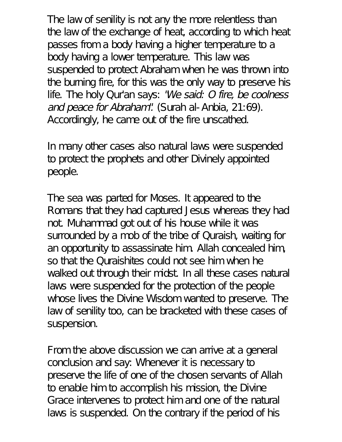The law of senility is not any the more relentless than the law of the exchange of heat, according to which heat passes from a body having a higher temperature to a body having a lower temperature. This law was suspended to protect Abraham when he was thrown into the burning fire, for this was the only way to preserve his life. The holy Qur'an says: "We said: O fire, be coolness and peace for Abraham". (Surah al-Anbia, 21:69). Accordingly, he came out of the fire unscathed.

In many other cases also natural laws were suspended to protect the prophets and other Divinely appointed people.

The sea was parted for Moses. It appeared to the Romans that they had captured Jesus whereas they had not. Muhammad got out of his house while it was surrounded by a mob of the tribe of Quraish, waiting for an opportunity to assassinate him. Allah concealed him, so that the Quraishites could not see him when he walked out through their midst. In all these cases natural laws were suspended for the protection of the people whose lives the Divine Wisdom wanted to preserve. The law of senility too, can be bracketed with these cases of suspension.

From the above discussion we can arrive at a general conclusion and say: Whenever it is necessary to preserve the life of one of the chosen servants of Allah to enable him to accomplish his mission, the Divine Grace intervenes to protect him and one of the natural laws is suspended. On the contrary if the period of his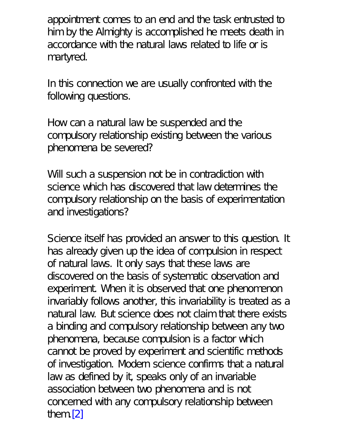appointment comes to an end and the task entrusted to him by the Almighty is accomplished he meets death in accordance with the natural laws related to life or is martyred.

In this connection we are usually confronted with the following questions.

How can a natural law be suspended and the compulsory relationship existing between the various phenomena be severed?

Will such a suspension not be in contradiction with science which has discovered that law determines the compulsory relationship on the basis of experimentation and investigations?

Science itself has provided an answer to this question. It has already given up the idea of compulsion in respect of natural laws. It only says that these laws are discovered on the basis of systematic observation and experiment. When it is observed that one phenomenon invariably follows another, this invariability is treated as a natural law. But science does not claim that there exists a binding and compulsory relationship between any two phenomena, because compulsion is a factor which cannot be proved by experiment and scientific methods of investigation. Modern science confirms that a natural law as defined by it, speaks only of an invariable association between two phenomena and is not concerned with any compulsory relationship between them[.\[2\]](#page-56-1)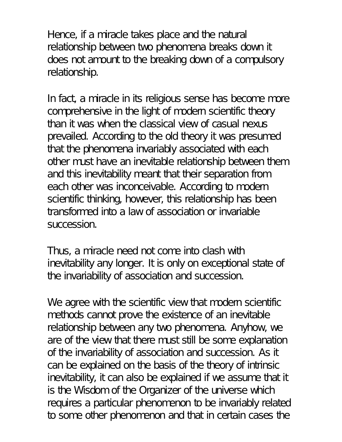Hence, if a miracle takes place and the natural relationship between two phenomena breaks down it does not amount to the breaking down of a compulsory relationship.

In fact, a miracle in its religious sense has become more comprehensive in the light of modern scientific theory than it was when the classical view of casual nexus prevailed. According to the old theory it was presumed that the phenomena invariably associated with each other must have an inevitable relationship between them and this inevitability meant that their separation from each other was inconceivable. According to modern scientific thinking, however, this relationship has been transformed into a law of association or invariable succession.

Thus, a miracle need not come into clash with inevitability any longer. It is only on exceptional state of the invariability of association and succession.

We agree with the scientific view that modern scientific methods cannot prove the existence of an inevitable relationship between any two phenomena. Anyhow, we are of the view that there must still be some explanation of the invariability of association and succession. As it can be explained on the basis of the theory of intrinsic inevitability, it can also be explained if we assume that it is the Wisdom of the Organizer of the universe which requires a particular phenomenon to be invariably related to some other phenomenon and that in certain cases the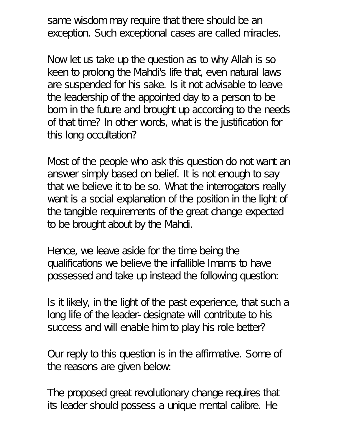same wisdom may require that there should be an exception. Such exceptional cases are called miracles.

Now let us take up the question as to why Allah is so keen to prolong the Mahdi's life that, even natural laws are suspended for his sake. Is it not advisable to leave the leadership of the appointed day to a person to be born in the future and brought up according to the needs of that time? In other words, what is the justification for this long occultation?

Most of the people who ask this question do not want an answer simply based on belief. It is not enough to say that we believe it to be so. What the interrogators really want is a social explanation of the position in the light of the tangible requirements of the great change expected to be brought about by the Mahdi.

Hence, we leave aside for the time being the qualifications we believe the infallible Imams to have possessed and take up instead the following question:

Is it likely, in the light of the past experience, that such a long life of the leader-designate will contribute to his success and will enable him to play his role better?

Our reply to this question is in the affirmative. Some of the reasons are given below:

The proposed great revolutionary change requires that its leader should possess a unique mental calibre. He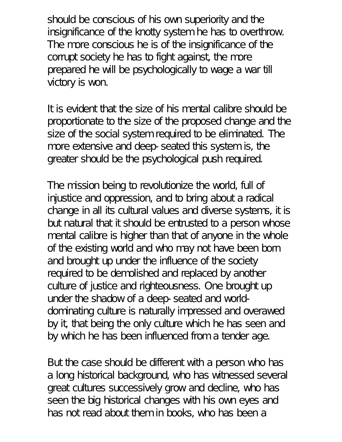should be conscious of his own superiority and the insignificance of the knotty system he has to overthrow. The more conscious he is of the insignificance of the corrupt society he has to fight against, the more prepared he will be psychologically to wage a war till victory is won.

It is evident that the size of his mental calibre should be proportionate to the size of the proposed change and the size of the social system required to be eliminated. The more extensive and deep-seated this system is, the greater should be the psychological push required.

The mission being to revolutionize the world, full of injustice and oppression, and to bring about a radical change in all its cultural values and diverse systems, it is but natural that it should be entrusted to a person whose mental calibre is higher than that of anyone in the whole of the existing world and who may not have been born and brought up under the influence of the society required to be demolished and replaced by another culture of justice and righteousness. One brought up under the shadow of a deep-seated and worlddominating culture is naturally impressed and overawed by it, that being the only culture which he has seen and by which he has been influenced from a tender age.

But the case should be different with a person who has a long historical background, who has witnessed several great cultures successively grow and decline, who has seen the big historical changes with his own eyes and has not read about them in books, who has been a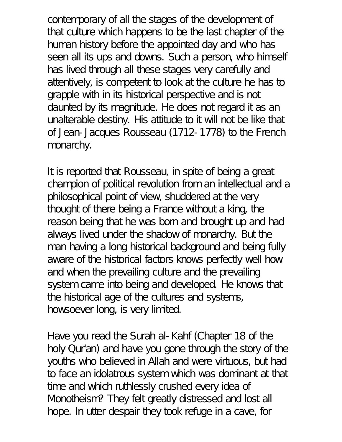contemporary of all the stages of the development of that culture which happens to be the last chapter of the human history before the appointed day and who has seen all its ups and downs. Such a person, who himself has lived through all these stages very carefully and attentively, is competent to look at the culture he has to grapple with in its historical perspective and is not daunted by its magnitude. He does not regard it as an unalterable destiny. His attitude to it will not be like that of Jean-Jacques Rousseau (1712-1778) to the French monarchy.

It is reported that Rousseau, in spite of being a great champion of political revolution from an intellectual and a philosophical point of view, shuddered at the very thought of there being a France without a king, the reason being that he was born and brought up and had always lived under the shadow of monarchy. But the man having a long historical background and being fully aware of the historical factors knows perfectly well how and when the prevailing culture and the prevailing system came into being and developed. He knows that the historical age of the cultures and systems, howsoever long, is very limited.

Have you read the Surah al-Kahf (Chapter 18 of the holy Qur'an) and have you gone through the story of the youths who believed in Allah and were virtuous, but had to face an idolatrous system which was dominant at that time and which ruthlessly crushed every idea of Monotheism? They felt greatly distressed and lost all hope. In utter despair they took refuge in a cave, for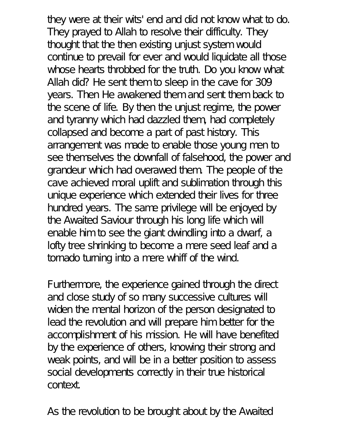they were at their wits' end and did not know what to do. They prayed to Allah to resolve their difficulty. They thought that the then existing unjust system would continue to prevail for ever and would liquidate all those whose hearts throbbed for the truth. Do you know what Allah did? He sent them to sleep in the cave for 309 years. Then He awakened them and sent them back to the scene of life. By then the unjust regime, the power and tyranny which had dazzled them, had completely collapsed and become a part of past history. This arrangement was made to enable those young men to see themselves the downfall of falsehood, the power and grandeur which had overawed them. The people of the cave achieved moral uplift and sublimation through this unique experience which extended their lives for three hundred years. The same privilege will be enjoyed by the Awaited Saviour through his long life which will enable him to see the giant dwindling into a dwarf, a lofty tree shrinking to become a mere seed leaf and a tornado turning into a mere whiff of the wind.

Furthermore, the experience gained through the direct and close study of so many successive cultures will widen the mental horizon of the person designated to lead the revolution and will prepare him better for the accomplishment of his mission. He will have benefited by the experience of others, knowing their strong and weak points, and will be in a better position to assess social developments correctly in their true historical context.

As the revolution to be brought about by the Awaited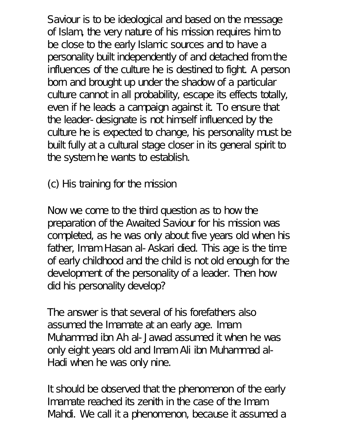Saviour is to be ideological and based on the message of Islam, the very nature of his mission requires him to be close to the early Islamic sources and to have a personality built independently of and detached from the influences of the culture he is destined to fight. A person born and brought up under the shadow of a particular culture cannot in all probability, escape its effects totally, even if he leads a campaign against it. To ensure that the leader-designate is not himself influenced by the culture he is expected to change, his personality must be built fully at a cultural stage closer in its general spirit to the system he wants to establish.

(c) His training for the mission

Now we come to the third question as to how the preparation of the Awaited Saviour for his mission was completed, as he was only about five years old when his father, Imam Hasan al-Askari died. This age is the time of early childhood and the child is not old enough for the development of the personality of a leader. Then how did his personality develop?

The answer is that several of his forefathers also assumed the Imamate at an early age. Imam Muhammad ibn Ah al-Jawad assumed it when he was only eight years old and Imam Ali ibn Muhammad al-Hadi when he was only nine.

It should be observed that the phenomenon of the early Imamate reached its zenith in the case of the Imam Mahdi. We call it a phenomenon, because it assumed a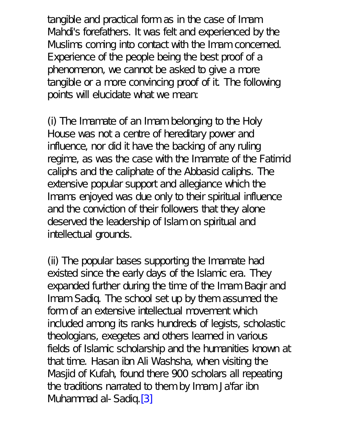tangible and practical form as in the case of Imam Mahdi's forefathers. It was felt and experienced by the Muslims coming into contact with the Imam concerned. Experience of the people being the best proof of a phenomenon, we cannot be asked to give a more tangible or a more convincing proof of it. The following points will elucidate what we mean:

(i) The Imamate of an Imam belonging to the Holy House was not a centre of hereditary power and influence, nor did it have the backing of any ruling regime, as was the case with the Imamate of the Fatimid caliphs and the caliphate of the Abbasid caliphs. The extensive popular support and allegiance which the Imams enjoyed was due only to their spiritual influence and the conviction of their followers that they alone deserved the leadership of Islam on spiritual and intellectual grounds.

<span id="page-38-0"></span>(ii) The popular bases supporting the Imamate had existed since the early days of the Islamic era. They expanded further during the time of the Imam Baqir and Imam Sadiq. The school set up by them assumed the form of an extensive intellectual movement which included among its ranks hundreds of legists, scholastic theologians, exegetes and others learned in various fields of Islamic scholarship and the humanities known at that time. Hasan ibn Ali Washsha, when visiting the Masjid of Kufah, found there 900 scholars all repeating the traditions narrated to them by Imam Ja'far ibn Muhammad al-Sadiq[.\[3\]](#page-57-0)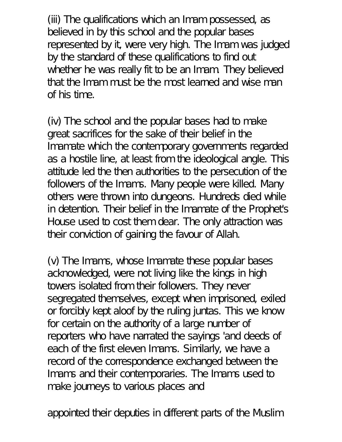(iii) The qualifications which an Imam possessed, as believed in by this school and the popular bases represented by it, were very high. The Imam was judged by the standard of these qualifications to find out whether he was really fit to be an Imam. They believed that the Imam must be the most learned and wise man of his time.

(iv) The school and the popular bases had to make great sacrifices for the sake of their belief in the Imamate which the contemporary governments regarded as a hostile line, at least from the ideological angle. This attitude led the then authorities to the persecution of the followers of the Imams. Many people were killed. Many others were thrown into dungeons. Hundreds died while in detention. Their belief in the Imamate of the Prophet's House used to cost them dear. The only attraction was their conviction of gaining the favour of Allah.

(v) The Imams, whose Imamate these popular bases acknowledged, were not living like the kings in high towers isolated from their followers. They never segregated themselves, except when imprisoned, exiled or forcibly kept aloof by the ruling juntas. This we know for certain on the authority of a large number of reporters who have narrated the sayings 'and deeds of each of the first eleven Imams. Similarly, we have a record of the correspondence exchanged between the Imams and their contemporaries. The Imams used to make journeys to various places and

appointed their deputies in different parts of the Muslim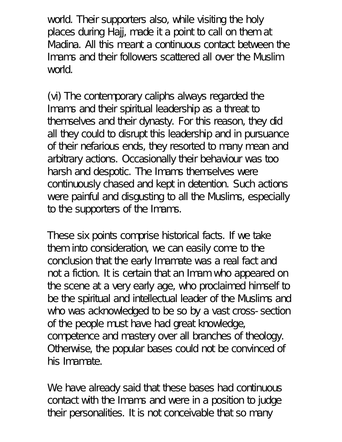world. Their supporters also, while visiting the holy places during Hajj, made it a point to call on them at Madina. All this meant a continuous contact between the Imams and their followers scattered all over the Muslim world.

(vi) The contemporary caliphs always regarded the Imams and their spiritual leadership as a threat to themselves and their dynasty. For this reason, they did all they could to disrupt this leadership and in pursuance of their nefarious ends, they resorted to many mean and arbitrary actions. Occasionally their behaviour was too harsh and despotic. The Imams themselves were continuously chased and kept in detention. Such actions were painful and disgusting to all the Muslims, especially to the supporters of the Imams.

These six points comprise historical facts. If we take them into consideration, we can easily come to the conclusion that the early Imamate was a real fact and not a fiction. It is certain that an Imam who appeared on the scene at a very early age, who proclaimed himself to be the spiritual and intellectual leader of the Muslims and who was acknowledged to be so by a vast cross-section of the people must have had great knowledge, competence and mastery over all branches of theology. Otherwise, the popular bases could not be convinced of his Imamate.

We have already said that these bases had continuous contact with the Imams and were in a position to judge their personalities. It is not conceivable that so many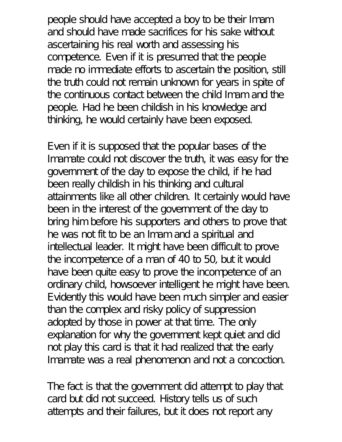people should have accepted a boy to be their Imam and should have made sacrifices for his sake without ascertaining his real worth and assessing his competence. Even if it is presumed that the people made no immediate efforts to ascertain the position, still the truth could not remain unknown for years in spite of the continuous contact between the child Imam and the people. Had he been childish in his knowledge and thinking, he would certainly have been exposed.

Even if it is supposed that the popular bases of the Imamate could not discover the truth, it was easy for the government of the day to expose the child, if he had been really childish in his thinking and cultural attainments like all other children. It certainly would have been in the interest of the government of the day to bring him before his supporters and others to prove that he was not fit to be an Imam and a spiritual and intellectual leader. It might have been difficult to prove the incompetence of a man of 40 to 50, but it would have been quite easy to prove the incompetence of an ordinary child, howsoever intelligent he might have been. Evidently this would have been much simpler and easier than the complex and risky policy of suppression adopted by those in power at that time. The only explanation for why the government kept quiet and did not play this card is that it had realized that the early Imamate was a real phenomenon and not a concoction.

The fact is that the government did attempt to play that card but did not succeed. History tells us of such attempts and their failures, but it does not report any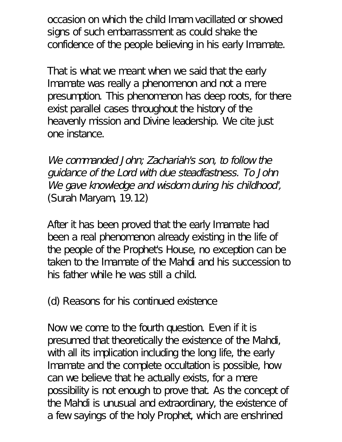occasion on which the child Imam vacillated or showed signs of such embarrassment as could shake the confidence of the people believing in his early Imamate.

That is what we meant when we said that the early Imamate was really a phenomenon and not a mere presumption. This phenomenon has deep roots, for there exist parallel cases throughout the history of the heavenly mission and Divine leadership. We cite just one instance.

We commanded John; Zachariah's son, to follow the guidance of the Lord with due steadfastness. To John We gave knowledge and wisdom during his childhood', (Surah Maryam, 19.12)

After it has been proved that the early Imamate had been a real phenomenon already existing in the life of the people of the Prophet's House, no exception can be taken to the Imamate of the Mahdi and his succession to his father while he was still a child.

(d) Reasons for his continued existence

Now we come to the fourth question. Even if it is presumed that theoretically the existence of the Mahdi, with all its implication including the long life, the early Imamate and the complete occultation is possible, how can we believe that he actually exists, for a mere possibility is not enough to prove that. As the concept of the Mahdi is unusual and extraordinary, the existence of a few sayings of the holy Prophet, which are enshrined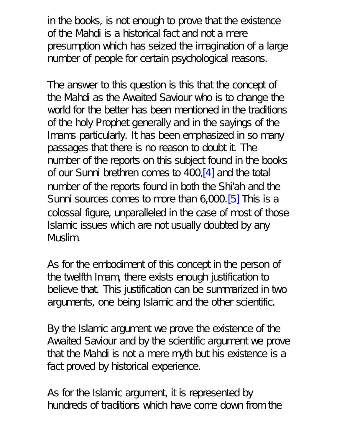in the books, is not enough to prove that the existence of the Mahdi is a historical fact and not a mere presumption which has seized the imagination of a large number of people for certain psychological reasons.

The answer to this question is this that the concept of the Mahdi as the Awaited Saviour who is to change the world for the better has been mentioned in the traditions of the holy Prophet generally and in the sayings of the Imams particularly. It has been emphasized in so many passages that there is no reason to doubt it. The number of the reports on this subject found in the books of our Sunni brethren comes to 400[,\[4\]](#page-57-1) and the total number of the reports found in both the Shi'ah and the Sunni sources comes to more than 6,000.[\[5\]](#page-57-2) This is a colossal figure, unparalleled in the case of most of those Islamic issues which are not usually doubted by any Muslim.

<span id="page-43-1"></span><span id="page-43-0"></span>As for the embodiment of this concept in the person of the twelfth Imam, there exists enough justification to believe that. This justification can be summarized in two arguments, one being Islamic and the other scientific.

By the Islamic argument we prove the existence of the Awaited Saviour and by the scientific argument we prove that the Mahdi is not a mere myth but his existence is a fact proved by historical experience.

As for the Islamic argument, it is represented by hundreds of traditions which have come down from the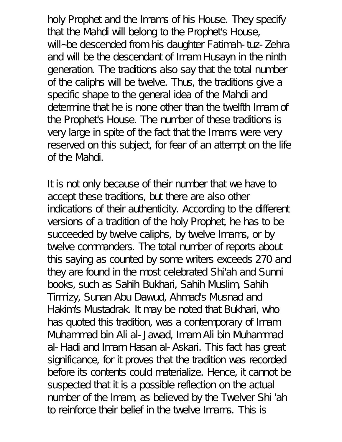holy Prophet and the Imams of his House. They specify that the Mahdi will belong to the Prophet's House, will~be descended from his daughter Fatimah-tuz-Zehra and will be the descendant of Imam Husayn in the ninth generation. The traditions also say that the total number of the caliphs will be twelve. Thus, the traditions give a specific shape to the general idea of the Mahdi and determine that he is none other than the twelfth Imam of the Prophet's House. The number of these traditions is very large in spite of the fact that the Imams were very reserved on this subject, for fear of an attempt on the life of the Mahdi.

It is not only because of their number that we have to accept these traditions, but there are also other indications of their authenticity. According to the different versions of a tradition of the holy Prophet, he has to be succeeded by twelve caliphs, by twelve Imams, or by twelve commanders. The total number of reports about this saying as counted by some writers exceeds 270 and they are found in the most celebrated Shi'ah and Sunni books, such as Sahih Bukhari, Sahih Muslim, Sahih Tirmizy, Sunan Abu Dawud, Ahmad's Musnad and Hakim's Mustadrak. It may be noted that Bukhari, who has quoted this tradition, was a contemporary of Imam Muhammad bin Ali al-Jawad, Imam Ali bin Muhammad al-Hadi and Imam Hasan al-Askari. This fact has great significance, for it proves that the tradition was recorded before its contents could materialize. Hence, it cannot be suspected that it is a possible reflection on the actual number of the Imam, as believed by the Twelver Shi 'ah to reinforce their belief in the twelve Imams. This is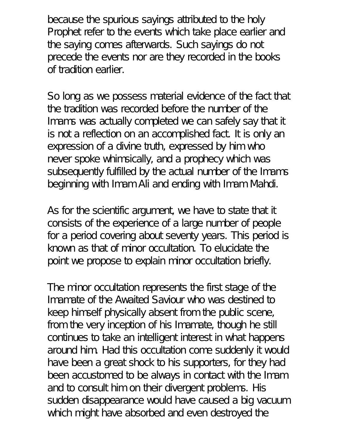because the spurious sayings attributed to the holy Prophet refer to the events which take place earlier and the saying comes afterwards. Such sayings do not precede the events nor are they recorded in the books of tradition earlier.

So long as we possess material evidence of the fact that the tradition was recorded before the number of the Imams was actually completed we can safely say that it is not a reflection on an accomplished fact. It is only an expression of a divine truth, expressed by him who never spoke whimsically, and a prophecy which was subsequently fulfilled by the actual number of the Imams beginning with Imam Ali and ending with Imam Mahdi.

As for the scientific argument, we have to state that it consists of the experience of a large number of people for a period covering about seventy years. This period is known as that of minor occultation. To elucidate the point we propose to explain minor occultation briefly.

The minor occultation represents the first stage of the Imamate of the Awaited Saviour who was destined to keep himself physically absent from the public scene, from the very inception of his Imamate, though he still continues to take an intelligent interest in what happens around him. Had this occultation come suddenly it would have been a great shock to his supporters, for they had been accustomed to be always in contact with the Imam and to consult him on their divergent problems. His sudden disappearance would have caused a big vacuum which might have absorbed and even destroyed the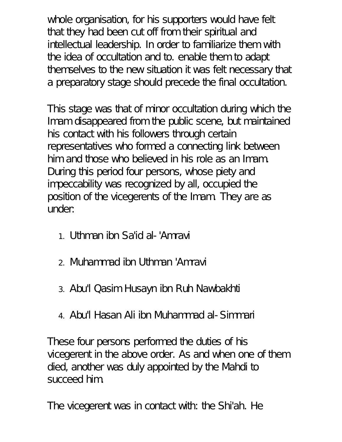whole organisation, for his supporters would have felt that they had been cut off from their spiritual and intellectual leadership. In order to familiarize them with the idea of occultation and to. enable them to adapt themselves to the new situation it was felt necessary that a preparatory stage should precede the final occultation.

This stage was that of minor occultation during which the Imam disappeared from the public scene, but maintained his contact with his followers through certain representatives who formed a connecting link between him and those who believed in his role as an Imam. During this period four persons, whose piety and impeccability was recognized by all, occupied the position of the vicegerents of the Imam. They are as under:

- 1. Uthman ibn Sa'id al-'Amravi
- 2. Muhammad ibn Uthman 'Amravi
- 3. Abu'l Qasim Husayn ibn Ruh Nawbakhti
- 4. Abu'l Hasan Ali ibn Muhammad al-Simmari

These four persons performed the duties of his vicegerent in the above order. As and when one of them died, another was duly appointed by the Mahdi to succeed him.

The vicegerent was in contact with: the Shi'ah. He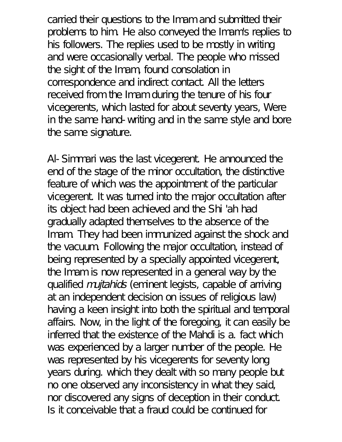carried their questions to the Imam and submitted their problems to him. He also conveyed the Imam's replies to his followers. The replies used to be mostly in writing and were occasionally verbal. The people who missed the sight of the Imam, found consolation in correspondence and indirect contact. All the letters received from the Imam during the tenure of his four vicegerents, which lasted for about seventy years, Were in the same hand-writing and in the same style and bore the same signature.

Al-Simmari was the last vicegerent. He announced the end of the stage of the minor occultation, the distinctive feature of which was the appointment of the particular vicegerent. It was turned into the major occultation after its object had been achieved and the Shi 'ah had gradually adapted themselves to the absence of the Imam. They had been immunized against the shock and the vacuum. Following the major occultation, instead of being represented by a specially appointed vicegerent, the Imam is now represented in a general way by the qualified *mujtahids* (eminent legists, capable of arriving at an independent decision on issues of religious law) having a keen insight into both the spiritual and temporal affairs. Now, in the light of the foregoing, it can easily be inferred that the existence of the Mahdi is a. fact which was experienced by a larger number of the people. He was represented by his vicegerents for seventy long years during. which they dealt with so many people but no one observed any inconsistency in what they said, nor discovered any signs of deception in their conduct. Is it conceivable that a fraud could be continued for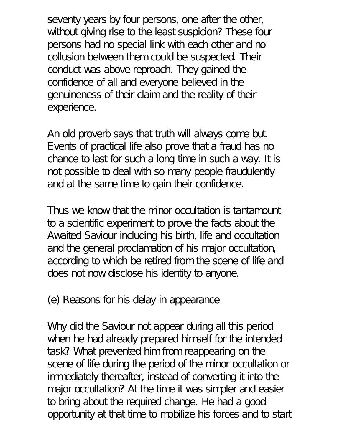seventy years by four persons, one after the other, without giving rise to the least suspicion? These four persons had no special link with each other and no collusion between them could be suspected. Their conduct was above reproach. They gained the confidence of all and everyone believed in the genuineness of their claim and the reality of their experience.

An old proverb says that truth will always come but. Events of practical life also prove that a fraud has no chance to last for such a long time in such a way. It is not possible to deal with so many people fraudulently and at the same time to gain their confidence.

Thus we know that the minor occultation is tantamount to a scientific experiment to prove the facts about the Awaited Saviour including his birth, life and occultation and the general proclamation of his major occultation, according to which be retired from the scene of life and does not now disclose his identity to anyone.

(e) Reasons for his delay in appearance

Why did the Saviour not appear during all this period when he had already prepared himself for the intended task? What prevented him from reappearing on the scene of life during the period of the minor occultation or immediately thereafter, instead of converting it into the major occultation? At the time it was simpler and easier to bring about the required change. He had a good opportunity at that time to mobilize his forces and to start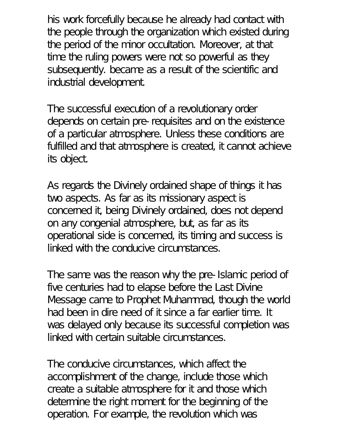his work forcefully because he already had contact with the people through the organization which existed during the period of the minor occultation. Moreover, at that time the ruling powers were not so powerful as they subsequently. became as a result of the scientific and industrial development.

The successful execution of a revolutionary order depends on certain pre-requisites and on the existence of a particular atmosphere. Unless these conditions are fulfilled and that atmosphere is created, it cannot achieve its object.

As regards the Divinely ordained shape of things it has two aspects. As far as its missionary aspect is concerned it, being Divinely ordained, does not depend on any congenial atmosphere, but, as far as its operational side is concerned, its timing and success is linked with the conducive circumstances.

The same was the reason why the pre-Islamic period of five centuries had to elapse before the Last Divine Message came to Prophet Muhammad, though the world had been in dire need of it since a far earlier time. It was delayed only because its successful completion was linked with certain suitable circumstances.

The conducive circumstances, which affect the accomplishment of the change, include those which create a suitable atmosphere for it and those which determine the right moment for the beginning of the operation. For example, the revolution which was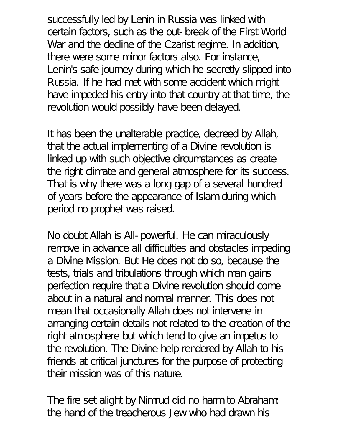successfully led by Lenin in Russia was linked with certain factors, such as the out-break of the First World War and the decline of the Czarist regime. In addition, there were some minor factors also. For instance, Lenin's safe journey during which he secretly slipped into Russia. If he had met with some accident which might have impeded his entry into that country at that time, the revolution would possibly have been delayed.

It has been the unalterable practice, decreed by Allah, that the actual implementing of a Divine revolution is linked up with such objective circumstances as create the right climate and general atmosphere for its success. That is why there was a long gap of a several hundred of years before the appearance of Islam during which period no prophet was raised.

No doubt Allah is All-powerful. He can miraculously remove in advance all difficulties and obstacles impeding a Divine Mission. But He does not do so, because the tests, trials and tribulations through which man gains perfection require that a Divine revolution should come about in a natural and normal manner. This does not mean that occasionally Allah does not intervene in arranging certain details not related to the creation of the right atmosphere but which tend to give an impetus to the revolution. The Divine help rendered by Allah to his friends at critical junctures for the purpose of protecting their mission was of this nature.

The fire set alight by Nimrud did no harm to Abraham; the hand of the treacherous Jew who had drawn his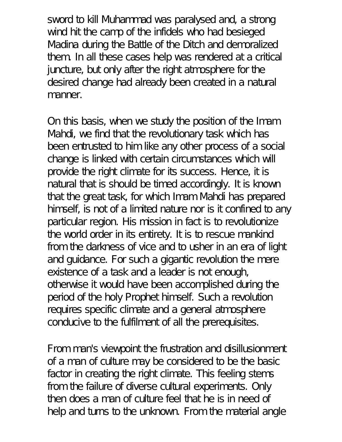sword to kill Muhammad was paralysed and, a strong wind hit the camp of the infidels who had besieged Madina during the Battle of the Ditch and demoralized them. In all these cases help was rendered at a critical juncture, but only after the right atmosphere for the desired change had already been created in a natural manner.

On this basis, when we study the position of the Imam Mahdi, we find that the revolutionary task which has been entrusted to him like any other process of a social change is linked with certain circumstances which will provide the right climate for its success. Hence, it is natural that is should be timed accordingly. It is known that the great task, for which Imam Mahdi has prepared himself, is not of a limited nature nor is it confined to any particular region. His mission in fact is to revolutionize the world order in its entirety. It is to rescue mankind from the darkness of vice and to usher in an era of light and guidance. For such a gigantic revolution the mere existence of a task and a leader is not enough, otherwise it would have been accomplished during the period of the holy Prophet himself. Such a revolution requires specific climate and a general atmosphere conducive to the fulfilment of all the prerequisites.

From man's viewpoint the frustration and disillusionment of a man of culture may be considered to be the basic factor in creating the right climate. This feeling stems from the failure of diverse cultural experiments. Only then does a man of culture feel that he is in need of help and turns to the unknown. From the material angle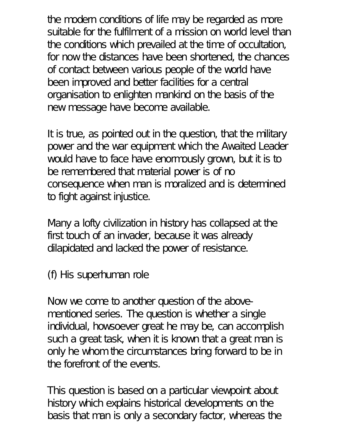the modern conditions of life may be regarded as more suitable for the fulfilment of a mission on world level than the conditions which prevailed at the time of occultation, for now the distances have been shortened, the chances of contact between various people of the world have been improved and better facilities for a central organisation to enlighten mankind on the basis of the new message have become available.

It is true, as pointed out in the question, that the military power and the war equipment which the Awaited Leader would have to face have enormously grown, but it is to be remembered that material power is of no consequence when man is moralized and is determined to fight against injustice.

Many a lofty civilization in history has collapsed at the first touch of an invader, because it was already dilapidated and lacked the power of resistance.

(f) His superhuman role

Now we come to another question of the abovementioned series. The question is whether a single individual, howsoever great he may be, can accomplish such a great task, when it is known that a great man is only he whom the circumstances bring forward to be in the forefront of the events.

This question is based on a particular viewpoint about history which explains historical developments on the basis that man is only a secondary factor, whereas the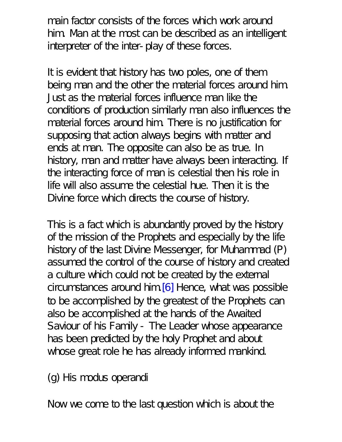main factor consists of the forces which work around him. Man at the most can be described as an intelligent interpreter of the inter-play of these forces.

It is evident that history has two poles, one of them being man and the other the material forces around him. Just as the material forces influence man like the conditions of production similarly man also influences the material forces around him. There is no justification for supposing that action always begins with matter and ends at man. The opposite can also be as true. In history, man and matter have always been interacting. If the interacting force of man is celestial then his role in life will also assume the celestial hue. Then it is the Divine force which directs the course of history.

<span id="page-53-0"></span>This is a fact which is abundantly proved by the history of the mission of the Prophets and especially by the life history of the last Divine Messenger, for Muhammad (P) assumed the control of the course of history and created a culture which could not be created by the external circumstances around him[.\[6\]](#page-57-3) Hence, what was possible to be accomplished by the greatest of the Prophets can also be accomplished at the hands of the Awaited Saviour of his Family - The Leader whose appearance has been predicted by the holy Prophet and about whose great role he has already informed mankind.

(g) His modus operandi

Now we come to the last question which is about the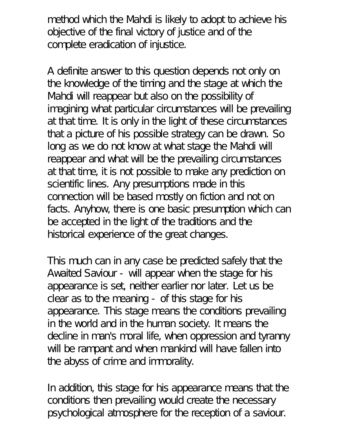method which the Mahdi is likely to adopt to achieve his objective of the final victory of justice and of the complete eradication of injustice.

A definite answer to this question depends not only on the knowledge of the timing and the stage at which the Mahdi will reappear but also on the possibility of imagining what particular circumstances will be prevailing at that time. It is only in the light of these circumstances that a picture of his possible strategy can be drawn. So long as we do not know at what stage the Mahdi will reappear and what will be the prevailing circumstances at that time, it is not possible to make any prediction on scientific lines. Any presumptions made in this connection will be based mostly on fiction and not on facts. Anyhow, there is one basic presumption which can be accepted in the light of the traditions and the historical experience of the great changes.

This much can in any case be predicted safely that the Awaited Saviour - will appear when the stage for his appearance is set, neither earlier nor later. Let us be clear as to the meaning - of this stage for his appearance. This stage means the conditions prevailing in the world and in the human society. It means the decline in man's moral life, when oppression and tyranny will be rampant and when mankind will have fallen into the abyss of crime and immorality.

In addition, this stage for his appearance means that the conditions then prevailing would create the necessary psychological atmosphere for the reception of a saviour.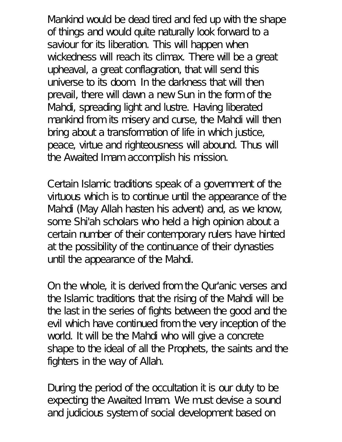Mankind would be dead tired and fed up with the shape of things and would quite naturally look forward to a saviour for its liberation. This will happen when wickedness will reach its climax. There will be a great upheaval, a great conflagration, that will send this universe to its doom. In the darkness that will then prevail, there will dawn a new Sun in the form of the Mahdi, spreading light and lustre. Having liberated mankind from its misery and curse, the Mahdi will then bring about a transformation of life in which justice, peace, virtue and righteousness will abound. Thus will the Awaited Imam accomplish his mission.

Certain Islamic traditions speak of a government of the virtuous which is to continue until the appearance of the Mahdi (May Allah hasten his advent) and, as we know, some Shi'ah scholars who held a high opinion about a certain number of their contemporary rulers have hinted at the possibility of the continuance of their dynasties until the appearance of the Mahdi.

On the whole, it is derived from the Qur'anic verses and the Islamic traditions that the rising of the Mahdi will be the last in the series of fights between the good and the evil which have continued from the very inception of the world. It will be the Mahdi who will give a concrete shape to the ideal of all the Prophets, the saints and the fighters in the way of Allah.

During the period of the occultation it is our duty to be expecting the Awaited Imam. We must devise a sound and judicious system of social development based on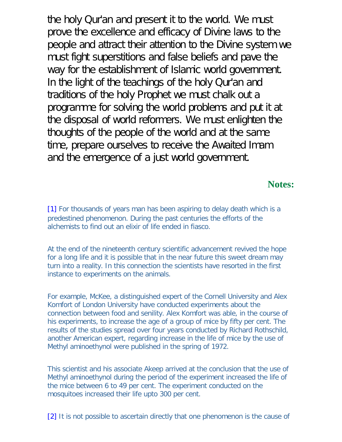the holy Qur'an and present it to the world. We must prove the excellence and efficacy of Divine laws to the people and attract their attention to the Divine system we must fight superstitions and false beliefs and pave the way for the establishment of Islamic world government. In the light of the teachings of the holy Qur'an and traditions of the holy Prophet we must chalk out a programme for solving the world problems and put it at the disposal of world reformers. We must enlighten the thoughts of the people of the world and at the same time, prepare ourselves to receive the Awaited Imam and the emergence of a just world government.

#### **Notes:**

[\[1\]](#page-26-0) For thousands of years man has been aspiring to delay death which is a predestined phenomenon. During the past centuries the efforts of the alchemists to find out an elixir of life ended in fiasco.

At the end of the nineteenth century scientific advancement revived the hope for a long life and it is possible that in the near future this sweet dream may turn into a reality. In this connection the scientists have resorted in the first instance to experiments on the animals.

For example, McKee, a distinguished expert of the Cornell University and Alex Komfort of London University have conducted experiments about the connection between food and senility. Alex Komfort was able, in the course of his experiments, to increase the age of a group of mice by fifty per cent. The results of the studies spread over four years conducted by Richard Rothschild, another American expert, regarding increase in the life of mice by the use of Methyl aminoethynol were published in the spring of 1972.

This scientist and his associate Akeep arrived at the conclusion that the use of Methyl aminoethynol during the period of the experiment increased the life of the mice between 6 to 49 per cent. The experiment conducted on the mosquitoes increased their life upto 300 per cent.

[\[2\]](#page-31-0) It is not possible to ascertain directly that one phenomenon is the cause of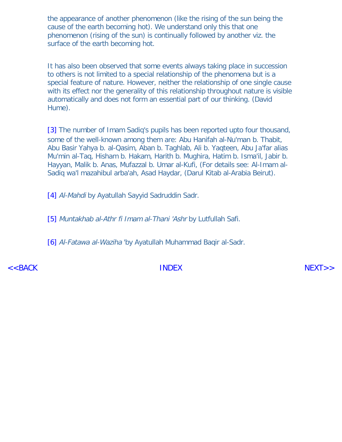the appearance of another phenomenon (like the rising of the sun being the cause of the earth becoming hot). We understand only this that one phenomenon (rising of the sun) is continually followed by another viz. the surface of the earth becoming hot.

It has also been observed that some events always taking place in succession to others is not limited to a special relationship of the phenomena but is a special feature of nature. However, neither the relationship of one single cause with its effect nor the generality of this relationship throughout nature is visible automatically and does not form an essential part of our thinking. (David Hume).

<span id="page-57-0"></span>[\[3\]](#page-38-0) The number of Imam Sadiq's pupils has been reported upto four thousand, some of the well-known among them are: Abu Hanifah al-Nu'man b. Thabit, Abu Basir Yahya b. al-Qasim, Aban b. Taghlab, Ali b. Yaqteen, Abu Ja'far alias Mu'min al-Taq, Hisham b. Hakam, Harith b. Mughira, Hatim b. Isma'il, Jabir b. Hayyan, Malik b. Anas, Mufazzal b. Umar al-Kufi, (For details see: Al-Imam al-Sadiq wa'l mazahibul arba'ah, Asad Haydar, (Darul Kitab al-Arabia Beirut).

<span id="page-57-1"></span>[\[4\]](#page-43-0) Al-Mahdi by Ayatullah Sayyid Sadruddin Sadr.

<span id="page-57-2"></span>[\[5\]](#page-43-1) Muntakhab al-Athr fi Imam al-Thani 'Ashr by Lutfullah Safi.

[\[6\]](#page-53-0) Al-Fatawa al-Waziha 'by Ayatullah Muhammad Baqir al-Sadr.

<span id="page-57-3"></span>[<<BACK](#page-18-0) [INDEX](#page-0-0) [NEXT>>](#page-58-0)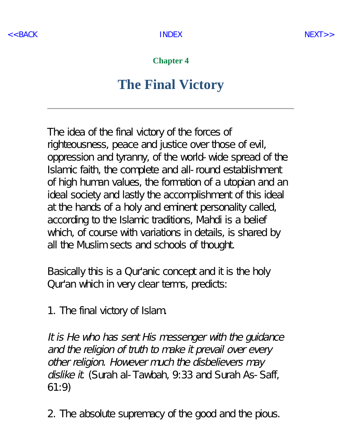## **Chapter 4**

# **The Final Victory**

<span id="page-58-0"></span>The idea of the final victory of the forces of righteousness, peace and justice over those of evil, oppression and tyranny, of the world-wide spread of the Islamic faith, the complete and all-round establishment of high human values, the formation of a utopian and an ideal society and lastly the accomplishment of this ideal at the hands of a holy and eminent personality called, according to the Islamic traditions, Mahdi is a belief which, of course with variations in details, is shared by all the Muslim sects and schools of thought.

Basically this is a Qur'anic concept and it is the holy Qur'an which in very clear terms, predicts:

1. The final victory of Islam.

It is He who has sent His messenger with the guidance and the religion of truth to make it prevail over every other religion. However much the disbelievers may dislike it. (Surah al-Tawbah, 9:33 and Surah As-Saff, 61:9)

2. The absolute supremacy of the good and the pious.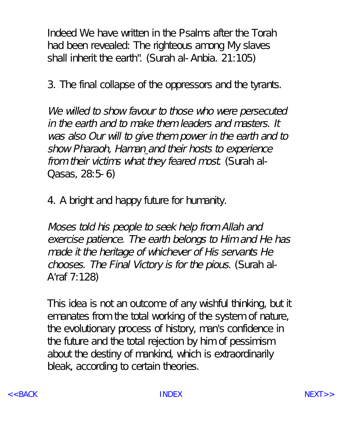Indeed We have written in the Psalms after the Torah had been revealed: The righteous among My slaves shall inherit the earth". (Surah al-Anbia. 21:105)

3. The final collapse of the oppressors and the tyrants.

We willed to show favour to those who were persecuted in the earth and to make them leaders and masters. It was also Our will to give them power in the earth and to show Pharaoh, Haman and their hosts to experience from their victims what they feared most. (Surah al-Qasas, 28:5-6)

4. A bright and happy future for humanity.

Moses told his people to seek help from Allah and exercise patience. The earth belongs to Him and He has made it the heritage of whichever of His servants He chooses. The Final Victory is for the pious. (Surah al-A'raf 7:128)

This idea is not an outcome of any wishful thinking, but it emanates from the total working of the system of nature, the evolutionary process of history, man's confidence in the future and the total rejection by him of pessimism about the destiny of mankind, which is extraordinarily bleak, according to certain theories.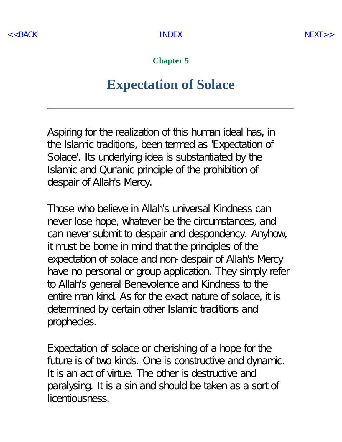#### **Chapter 5**

## <span id="page-60-0"></span>**Expectation of Solace**

Aspiring for the realization of this human ideal has, in the Islamic traditions, been termed as 'Expectation of Solace'. Its underlying idea is substantiated by the Islamic and Qur'anic principle of the prohibition of despair of Allah's Mercy.

Those who believe in Allah's universal Kindness can never lose hope, whatever be the circumstances, and can never submit to despair and despondency. Anyhow, it must be borne in mind that the principles of the expectation of solace and non-despair of Allah's Mercy have no personal or group application. They simply refer to Allah's general Benevolence and Kindness to the entire man kind. As for the exact nature of solace, it is determined by certain other Islamic traditions and prophecies.

Expectation of solace or cherishing of a hope for the future is of two kinds. One is constructive and dynamic. It is an act of virtue. The other is destructive and paralysing. It is a sin and should be taken as a sort of licentiousness.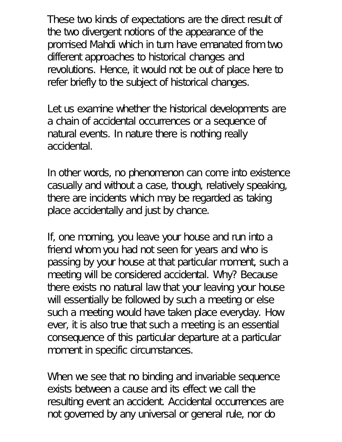These two kinds of expectations are the direct result of the two divergent notions of the appearance of the promised Mahdi which in turn have emanated from two different approaches to historical changes and revolutions. Hence, it would not be out of place here to refer briefly to the subject of historical changes.

Let us examine whether the historical developments are a chain of accidental occurrences or a sequence of natural events. In nature there is nothing really accidental.

In other words, no phenomenon can come into existence casually and without a case, though, relatively speaking, there are incidents which may be regarded as taking place accidentally and just by chance.

If, one morning, you leave your house and run into a friend whom you had not seen for years and who is passing by your house at that particular moment, such a meeting will be considered accidental. Why? Because there exists no natural law that your leaving your house will essentially be followed by such a meeting or else such a meeting would have taken place everyday. How ever, it is also true that such a meeting is an essential consequence of this particular departure at a particular moment in specific circumstances.

When we see that no binding and invariable sequence exists between a cause and its effect we call the resulting event an accident. Accidental occurrences are not governed by any universal or general rule, nor do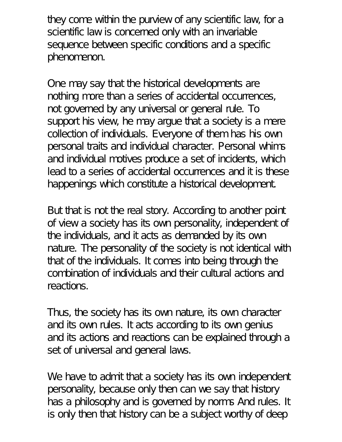they come within the purview of any scientific law, for a scientific law is concerned only with an invariable sequence between specific conditions and a specific phenomenon.

One may say that the historical developments are nothing more than a series of accidental occurrences, not governed by any universal or general rule. To support his view, he may argue that a society is a mere collection of individuals. Everyone of them has his own personal traits and individual character. Personal whims and individual motives produce a set of incidents, which lead to a series of accidental occurrences and it is these happenings which constitute a historical development.

But that is not the real story. According to another point of view a society has its own personality, independent of the individuals, and it acts as demanded by its own nature. The personality of the society is not identical with that of the individuals. It comes into being through the combination of individuals and their cultural actions and reactions.

Thus, the society has its own nature, its own character and its own rules. It acts according to its own genius and its actions and reactions can be explained through a set of universal and general laws.

We have to admit that a society has its own independent personality, because only then can we say that history has a philosophy and is governed by norms And rules. It is only then that history can be a subject worthy of deep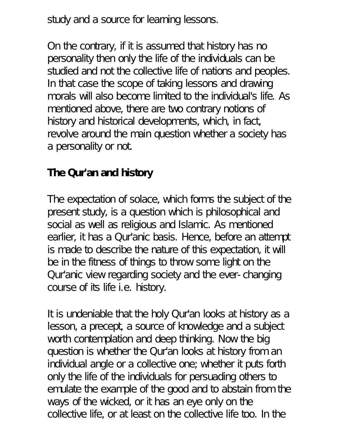study and a source for learning lessons.

On the contrary, if it is assumed that history has no personality then only the life of the individuals can be studied and not the collective life of nations and peoples. In that case the scope of taking lessons and drawing morals will also become limited to the individual's life. As mentioned above, there are two contrary notions of history and historical developments, which, in fact, revolve around the main question whether a society has a personality or not.

## **The Qur'an and history**

The expectation of solace, which forms the subject of the present study, is a question which is philosophical and social as well as religious and Islamic. As mentioned earlier, it has a Qur'anic basis. Hence, before an attempt is made to describe the nature of this expectation, it will be in the fitness of things to throw some light on the Qur'anic view regarding society and the ever-changing course of its life i.e. history.

It is undeniable that the holy Qur'an looks at history as a lesson, a precept, a source of knowledge and a subject worth contemplation and deep thinking. Now the big question is whether the Qur'an looks at history from an individual angle or a collective one; whether it puts forth only the life of the individuals for persuading others to emulate the example of the good and to abstain from the ways of the wicked, or it has an eye only on the collective life, or at least on the collective life too. In the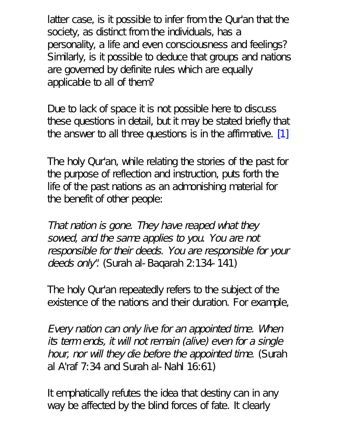latter case, is it possible to infer from the Qur'an that the society, as distinct from the individuals, has a personality, a life and even consciousness and feelings? Similarly, is it possible to deduce that groups and nations are governed by definite rules which are equally applicable to all of them?

Due to lack of space it is not possible here to discuss these questions in detail, but it may be stated briefly that the answer to all three questions is in the affirmative. [\[1\]](#page-65-0)

<span id="page-64-0"></span>The holy Qur'an, while relating the stories of the past for the purpose of reflection and instruction, puts forth the life of the past nations as an admonishing material for the benefit of other people:

That nation is gone. They have reaped what they sowed, and the same applies to you. You are not responsible for their deeds. You are responsible for your deeds only". (Surah al-Baqarah 2:134-141)

The holy Qur'an repeatedly refers to the subject of the existence of the nations and their duration. For example,

Every nation can only live for an appointed time. When its term ends, it will not remain (alive) even for a single hour, nor will they die before the appointed time. (Surah al A'raf 7:34 and Surah al-Nahl 16:61)

It emphatically refutes the idea that destiny can in any way be affected by the blind forces of fate. It clearly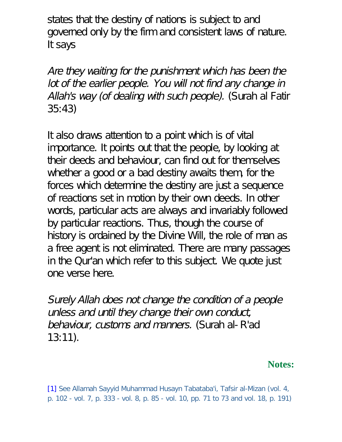states that the destiny of nations is subject to and governed only by the firm and consistent laws of nature. It says

Are they waiting for the punishment which has been the lot of the earlier people. You will not find any change in Allah's way (of dealing with such people). (Surah al Fatir 35:43)

It also draws attention to a point which is of vital importance. It points out that the people, by looking at their deeds and behaviour, can find out for themselves whether a good or a bad destiny awaits them, for the forces which determine the destiny are just a sequence of reactions set in motion by their own deeds. In other words, particular acts are always and invariably followed by particular reactions. Thus, though the course of history is ordained by the Divine Will, the role of man as a free agent is not eliminated. There are many passages in the Qur'an which refer to this subject. We quote just one verse here.

Surely Allah does not change the condition of a people unless and until they change their own conduct, behaviour, customs and manners. (Surah al-R'ad 13:11).

## **Notes:**

<span id="page-65-0"></span>[\[1\]](#page-64-0) See Allamah Sayyid Muhammad Husayn Tabataba'i, Tafsir al-Mizan (vol. 4, p. 102 - vol. 7, p. 333 - vol. 8, p. 85 - vol. 10, pp. 71 to 73 and vol. 18, p. 191)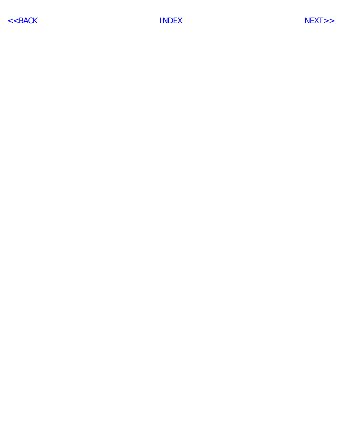[<<BACK](#page-58-0) [INDEX](#page-0-0) [NEXT>>](#page-67-0)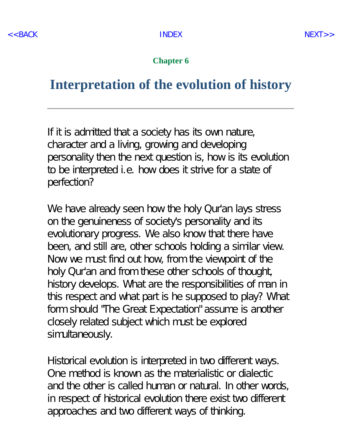### **Chapter 6**

# <span id="page-67-0"></span>**Interpretation of the evolution of history**

If it is admitted that a society has its own nature, character and a living, growing and developing personality then the next question is, how is its evolution to be interpreted i.e. how does it strive for a state of perfection?

We have already seen how the holy Qur'an lays stress on the genuineness of society's personality and its evolutionary progress. We also know that there have been, and still are, other schools holding a similar view. Now we must find out how, from the viewpoint of the holy Qur'an and from these other schools of thought, history develops. What are the responsibilities of man in this respect and what part is he supposed to play? What form should "The Great Expectation" assume is another closely related subject which must be explored simultaneously.

Historical evolution is interpreted in two different ways. One method is known as the materialistic or dialectic and the other is called human or natural. In other words, in respect of historical evolution there exist two different approaches and two different ways of thinking.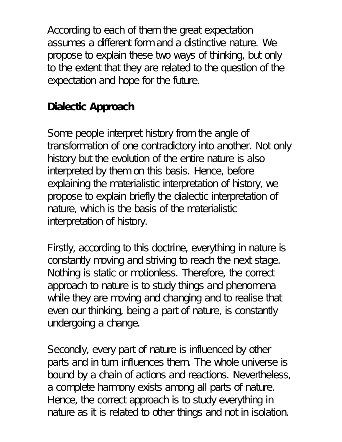According to each of them the great expectation assumes a different form and a distinctive nature. We propose to explain these two ways of thinking, but only to the extent that they are related to the question of the expectation and hope for the future.

## **Dialectic Approach**

Some people interpret history from the angle of transformation of one contradictory into another. Not only history but the evolution of the entire nature is also interpreted by them on this basis. Hence, before explaining the materialistic interpretation of history, we propose to explain briefly the dialectic interpretation of nature, which is the basis of the materialistic interpretation of history.

Firstly, according to this doctrine, everything in nature is constantly moving and striving to reach the next stage. Nothing is static or motionless. Therefore, the correct approach to nature is to study things and phenomena while they are moving and changing and to realise that even our thinking, being a part of nature, is constantly undergoing a change.

Secondly, every part of nature is influenced by other parts and in turn influences them. The whole universe is bound by a chain of actions and reactions. Nevertheless, a complete harmony exists among all parts of nature. Hence, the correct approach is to study everything in nature as it is related to other things and not in isolation.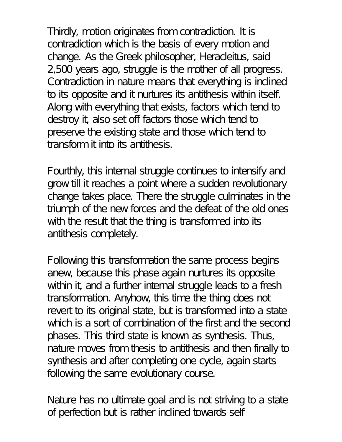Thirdly, motion originates from contradiction. It is contradiction which is the basis of every motion and change. As the Greek philosopher, Heracleitus, said 2,500 years ago, struggle is the mother of all progress. Contradiction in nature means that everything is inclined to its opposite and it nurtures its antithesis within itself. Along with everything that exists, factors which tend to destroy it, also set off factors those which tend to preserve the existing state and those which tend to transform it into its antithesis.

Fourthly, this internal struggle continues to intensify and grow till it reaches a point where a sudden revolutionary change takes place. There the struggle culminates in the triumph of the new forces and the defeat of the old ones with the result that the thing is transformed into its antithesis completely.

Following this transformation the same process begins anew, because this phase again nurtures its opposite within it, and a further internal struggle leads to a fresh transformation. Anyhow, this time the thing does not revert to its original state, but is transformed into a state which is a sort of combination of the first and the second phases. This third state is known as synthesis. Thus, nature moves from thesis to antithesis and then finally to synthesis and after completing one cycle, again starts following the same evolutionary course.

Nature has no ultimate goal and is not striving to a state of perfection but is rather inclined towards self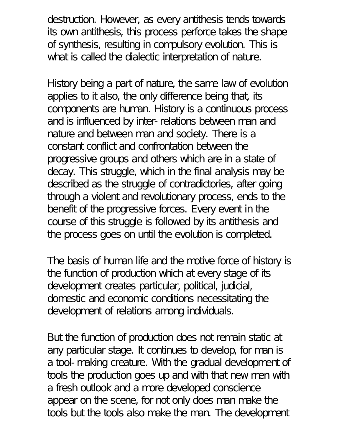destruction. However, as every antithesis tends towards its own antithesis, this process perforce takes the shape of synthesis, resulting in compulsory evolution. This is what is called the dialectic interpretation of nature.

History being a part of nature, the same law of evolution applies to it also, the only difference being that, its components are human. History is a continuous process and is influenced by inter-relations between man and nature and between man and society. There is a constant conflict and confrontation between the progressive groups and others which are in a state of decay. This struggle, which in the final analysis may be described as the struggle of contradictories, after going through a violent and revolutionary process, ends to the benefit of the progressive forces. Every event in the course of this struggle is followed by its antithesis and the process goes on until the evolution is completed.

The basis of human life and the motive force of history is the function of production which at every stage of its development creates particular, political, judicial, domestic and economic conditions necessitating the development of relations among individuals.

But the function of production does not remain static at any particular stage. It continues to develop, for man is a tool-making creature. With the gradual development of tools the production goes up and with that new men with a fresh outlook and a more developed conscience appear on the scene, for not only does man make the tools but the tools also make the man. The development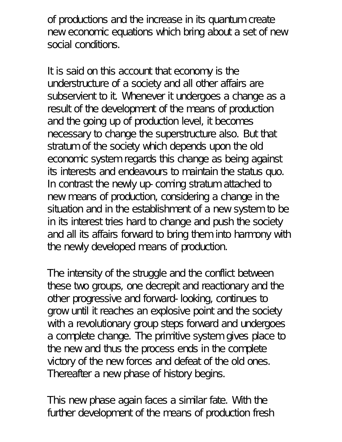of productions and the increase in its quantum create new economic equations which bring about a set of new social conditions.

It is said on this account that economy is the understructure of a society and all other affairs are subservient to it. Whenever it undergoes a change as a result of the development of the means of production and the going up of production level, it becomes necessary to change the superstructure also. But that stratum of the society which depends upon the old economic system regards this change as being against its interests and endeavours to maintain the status quo. In contrast the newly up-coming stratum attached to new means of production, considering a change in the situation and in the establishment of a new system to be in its interest tries hard to change and push the society and all its affairs forward to bring them into harmony with the newly developed means of production.

The intensity of the struggle and the conflict between these two groups, one decrepit and reactionary and the other progressive and forward-looking, continues to grow until it reaches an explosive point and the society with a revolutionary group steps forward and undergoes a complete change. The primitive system gives place to the new and thus the process ends in the complete victory of the new forces and defeat of the old ones. Thereafter a new phase of history begins.

This new phase again faces a similar fate. With the further development of the means of production fresh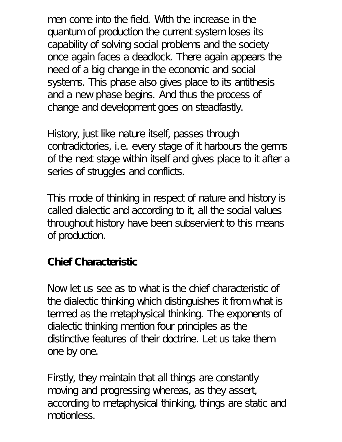men come into the field. With the increase in the quantum of production the current system loses its capability of solving social problems and the society once again faces a deadlock. There again appears the need of a big change in the economic and social systems. This phase also gives place to its antithesis and a new phase begins. And thus the process of change and development goes on steadfastly.

History, just like nature itself, passes through contradictories, i.e. every stage of it harbours the germs of the next stage within itself and gives place to it after a series of struggles and conflicts.

This mode of thinking in respect of nature and history is called dialectic and according to it, all the social values throughout history have been subservient to this means of production.

# **Chief Characteristic**

Now let us see as to what is the chief characteristic of the dialectic thinking which distinguishes it from what is termed as the metaphysical thinking. The exponents of dialectic thinking mention four principles as the distinctive features of their doctrine. Let us take them one by one.

Firstly, they maintain that all things are constantly moving and progressing whereas, as they assert, according to metaphysical thinking, things are static and motionless.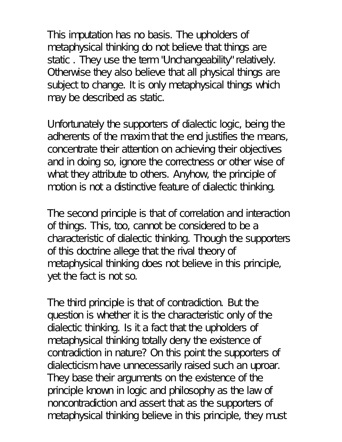This imputation has no basis. The upholders of metaphysical thinking do not believe that things are static . They use the term "Unchangeability" relatively. Otherwise they also believe that all physical things are subject to change. It is only metaphysical things which may be described as static.

Unfortunately the supporters of dialectic logic, being the adherents of the maxim that the end justifies the means, concentrate their attention on achieving their objectives and in doing so, ignore the correctness or other wise of what they attribute to others. Anyhow, the principle of motion is not a distinctive feature of dialectic thinking.

The second principle is that of correlation and interaction of things. This, too, cannot be considered to be a characteristic of dialectic thinking. Though the supporters of this doctrine allege that the rival theory of metaphysical thinking does not believe in this principle, yet the fact is not so.

The third principle is that of contradiction. But the question is whether it is the characteristic only of the dialectic thinking. Is it a fact that the upholders of metaphysical thinking totally deny the existence of contradiction in nature? On this point the supporters of dialecticism have unnecessarily raised such an uproar. They base their arguments on the existence of the principle known in logic and philosophy as the law of noncontradiction and assert that as the supporters of metaphysical thinking believe in this principle, they must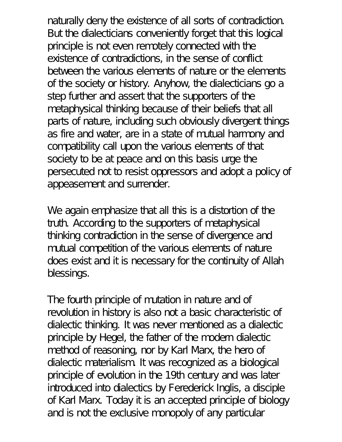naturally deny the existence of all sorts of contradiction. But the dialecticians conveniently forget that this logical principle is not even remotely connected with the existence of contradictions, in the sense of conflict between the various elements of nature or the elements of the society or history. Anyhow, the dialecticians go a step further and assert that the supporters of the metaphysical thinking because of their beliefs that all parts of nature, including such obviously divergent things as fire and water, are in a state of mutual harmony and compatibility call upon the various elements of that society to be at peace and on this basis urge the persecuted not to resist oppressors and adopt a policy of appeasement and surrender.

We again emphasize that all this is a distortion of the truth. According to the supporters of metaphysical thinking contradiction in the sense of divergence and mutual competition of the various elements of nature does exist and it is necessary for the continuity of Allah blessings.

The fourth principle of mutation in nature and of revolution in history is also not a basic characteristic of dialectic thinking. It was never mentioned as a dialectic principle by Hegel, the father of the modern dialectic method of reasoning, nor by Karl Marx, the hero of dialectic materialism. It was recognized as a biological principle of evolution in the 19th century and was later introduced into dialectics by Ferederick Inglis, a disciple of Karl Marx. Today it is an accepted principle of biology and is not the exclusive monopoly of any particular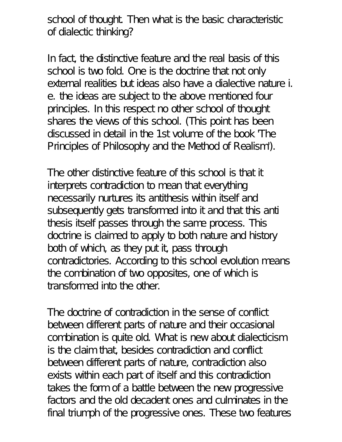school of thought. Then what is the basic characteristic of dialectic thinking?

In fact, the distinctive feature and the real basis of this school is two fold. One is the doctrine that not only external realities but ideas also have a dialective nature i. e. the ideas are subject to the above mentioned four principles. In this respect no other school of thought shares the views of this school. (This point has been discussed in detail in the 1st volume of the book 'The Principles of Philosophy and the Method of Realism').

The other distinctive feature of this school is that it interprets contradiction to mean that everything necessarily nurtures its antithesis within itself and subsequently gets transformed into it and that this anti thesis itself passes through the same process. This doctrine is claimed to apply to both nature and history both of which, as they put it, pass through contradictories. According to this school evolution means the combination of two opposites, one of which is transformed into the other.

The doctrine of contradiction in the sense of conflict between different parts of nature and their occasional combination is quite old. What is new about dialecticism is the claim that, besides contradiction and conflict between different parts of nature, contradiction also exists within each part of itself and this contradiction takes the form of a battle between the new progressive factors and the old decadent ones and culminates in the final triumph of the progressive ones. These two features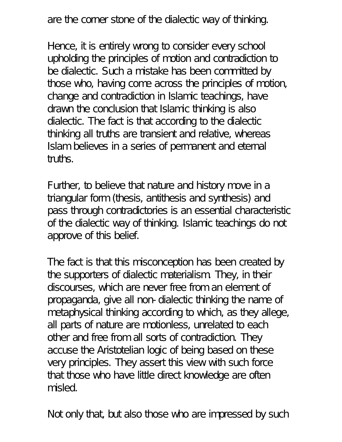are the corner stone of the dialectic way of thinking.

Hence, it is entirely wrong to consider every school upholding the principles of motion and contradiction to be dialectic. Such a mistake has been committed by those who, having come across the principles of motion, change and contradiction in Islamic teachings, have drawn the conclusion that Islamic thinking is also dialectic. The fact is that according to the dialectic thinking all truths are transient and relative, whereas Islam believes in a series of permanent and eternal truths.

Further, to believe that nature and history move in a triangular form (thesis, antithesis and synthesis) and pass through contradictories is an essential characteristic of the dialectic way of thinking. Islamic teachings do not approve of this belief.

The fact is that this misconception has been created by the supporters of dialectic materialism. They, in their discourses, which are never free from an element of propaganda, give all non-dialectic thinking the name of metaphysical thinking according to which, as they allege, all parts of nature are motionless, unrelated to each other and free from all sorts of contradiction. They accuse the Aristotelian logic of being based on these very principles. They assert this view with such force that those who have little direct knowledge are often misled.

Not only that, but also those who are impressed by such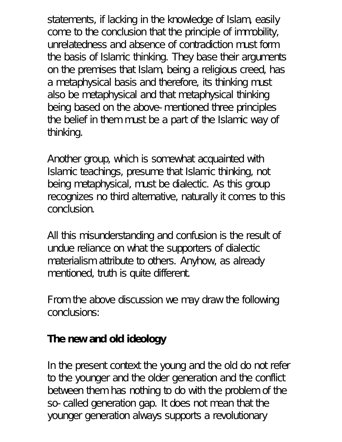statements, if lacking in the knowledge of Islam, easily come to the conclusion that the principle of immobility, unrelatedness and absence of contradiction must form the basis of Islamic thinking. They base their arguments on the premises that Islam, being a religious creed, has a metaphysical basis and therefore, its thinking must also be metaphysical and that metaphysical thinking being based on the above-mentioned three principles the belief in them must be a part of the Islamic way of thinking.

Another group, which is somewhat acquainted with Islamic teachings, presume that Islamic thinking, not being metaphysical, must be dialectic. As this group recognizes no third alternative, naturally it comes to this conclusion.

All this misunderstanding and confusion is the result of undue reliance on what the supporters of dialectic materialism attribute to others. Anyhow, as already mentioned, truth is quite different.

From the above discussion we may draw the following conclusions:

# **The new and old ideology**

In the present context the young and the old do not refer to the younger and the older generation and the conflict between them has nothing to do with the problem of the so-called generation gap. It does not mean that the younger generation always supports a revolutionary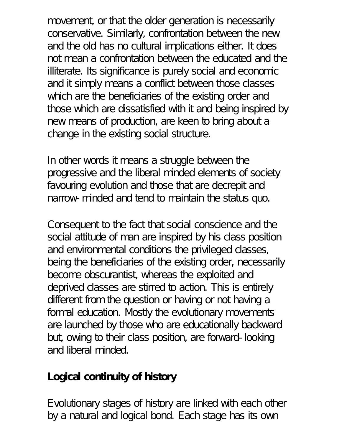movement, or that the older generation is necessarily conservative. Similarly, confrontation between the new and the old has no cultural implications either. It does not mean a confrontation between the educated and the illiterate. Its significance is purely social and economic and it simply means a conflict between those classes which are the beneficiaries of the existing order and those which are dissatisfied with it and being inspired by new means of production, are keen to bring about a change in the existing social structure.

In other words it means a struggle between the progressive and the liberal minded elements of society favouring evolution and those that are decrepit and narrow-minded and tend to maintain the status quo.

Consequent to the fact that social conscience and the social attitude of man are inspired by his class position and environmental conditions the privileged classes, being the beneficiaries of the existing order, necessarily become obscurantist, whereas the exploited and deprived classes are stirred to action. This is entirely different from the question or having or not having a formal education. Mostly the evolutionary movements are launched by those who are educationally backward but, owing to their class position, are forward-looking and liberal minded.

# **Logical continuity of history**

Evolutionary stages of history are linked with each other by a natural and logical bond. Each stage has its own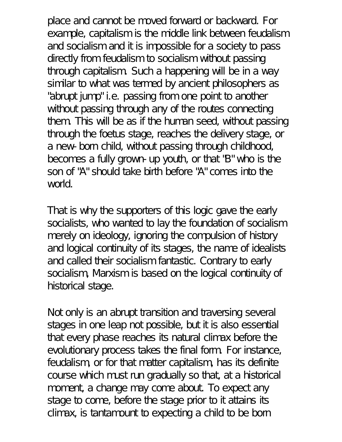place and cannot be moved forward or backward. For example, capitalism is the middle link between feudalism and socialism and it is impossible for a society to pass directly from feudalism to socialism without passing through capitalism. Such a happening will be in a way similar to what was termed by ancient philosophers as "abrupt jump" i.e. passing from one point to another without passing through any of the routes connecting them. This will be as if the human seed, without passing through the foetus stage, reaches the delivery stage, or a new-born child, without passing through childhood, becomes a fully grown-up youth, or that "B" who is the son of "A" should take birth before "A" comes into the world.

That is why the supporters of this logic gave the early socialists, who wanted to lay the foundation of socialism merely on ideology, ignoring the compulsion of history and logical continuity of its stages, the name of idealists and called their socialism fantastic. Contrary to early socialism, Marxism is based on the logical continuity of historical stage.

Not only is an abrupt transition and traversing several stages in one leap not possible, but it is also essential that every phase reaches its natural climax before the evolutionary process takes the final form. For instance, feudalism, or for that matter capitalism, has its definite course which must run gradually so that, at a historical moment, a change may come about. To expect any stage to come, before the stage prior to it attains its climax, is tantamount to expecting a child to be born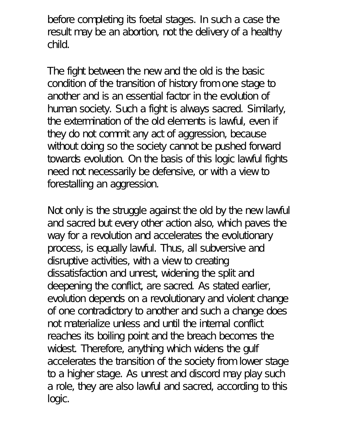before completing its foetal stages. In such a case the result may be an abortion, not the delivery of a healthy child.

The fight between the new and the old is the basic condition of the transition of history from one stage to another and is an essential factor in the evolution of human society. Such a fight is always sacred. Similarly, the extermination of the old elements is lawful, even if they do not commit any act of aggression, because without doing so the society cannot be pushed forward towards evolution. On the basis of this logic lawful fights need not necessarily be defensive, or with a view to forestalling an aggression.

Not only is the struggle against the old by the new lawful and sacred but every other action also, which paves the way for a revolution and accelerates the evolutionary process, is equally lawful. Thus, all subversive and disruptive activities, with a view to creating dissatisfaction and unrest, widening the split and deepening the conflict, are sacred. As stated earlier, evolution depends on a revolutionary and violent change of one contradictory to another and such a change does not materialize unless and until the internal conflict reaches its boiling point and the breach becomes the widest. Therefore, anything which widens the gulf accelerates the transition of the society from lower stage to a higher stage. As unrest and discord may play such a role, they are also lawful and sacred, according to this logic.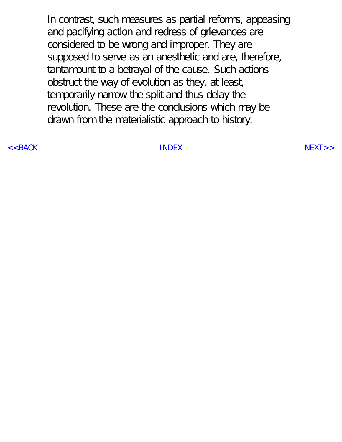In contrast, such measures as partial reforms, appeasing and pacifying action and redress of grievances are considered to be wrong and improper. They are supposed to serve as an anesthetic and are, therefore, tantamount to a betrayal of the cause. Such actions obstruct the way of evolution as they, at least, temporarily narrow the split and thus delay the revolution. These are the conclusions which may be drawn from the materialistic approach to history.

[<<BACK](#page-60-0) [NEXT>>](#page-82-0)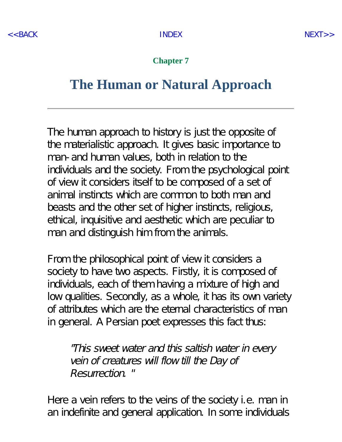### **Chapter 7**

# <span id="page-82-0"></span>**The Human or Natural Approach**

The human approach to history is just the opposite of the materialistic approach. It gives basic importance to man-and human values, both in relation to the individuals and the society. From the psychological point of view it considers itself to be composed of a set of animal instincts which are common to both man and beasts and the other set of higher instincts, religious, ethical, inquisitive and aesthetic which are peculiar to man and distinguish him from the animals.

From the philosophical point of view it considers a society to have two aspects. Firstly, it is composed of individuals, each of them having a mixture of high and low qualities. Secondly, as a whole, it has its own variety of attributes which are the eternal characteristics of man in general. A Persian poet expresses this fact thus:

"This sweet water and this saltish water in every vein of creatures will flow till the Day of Resurrection. "

Here a vein refers to the veins of the society i.e. man in an indefinite and general application. In some individuals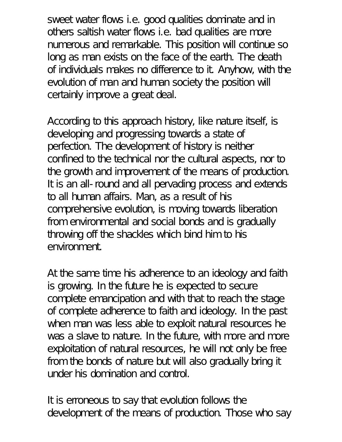sweet water flows i.e. good qualities dominate and in others saltish water flows i.e. bad qualities are more numerous and remarkable. This position will continue so long as man exists on the face of the earth. The death of individuals makes no difference to it. Anyhow, with the evolution of man and human society the position will certainly improve a great deal.

According to this approach history, like nature itself, is developing and progressing towards a state of perfection. The development of history is neither confined to the technical nor the cultural aspects, nor to the growth and improvement of the means of production. It is an all-round and all pervading process and extends to all human affairs. Man, as a result of his comprehensive evolution, is moving towards liberation from environmental and social bonds and is gradually throwing off the shackles which bind him to his environment.

At the same time his adherence to an ideology and faith is growing. In the future he is expected to secure complete emancipation and with that to reach the stage of complete adherence to faith and ideology. In the past when man was less able to exploit natural resources he was a slave to nature. In the future, with more and more exploitation of natural resources, he will not only be free from the bonds of nature but will also gradually bring it under his domination and control.

It is erroneous to say that evolution follows the development of the means of production. Those who say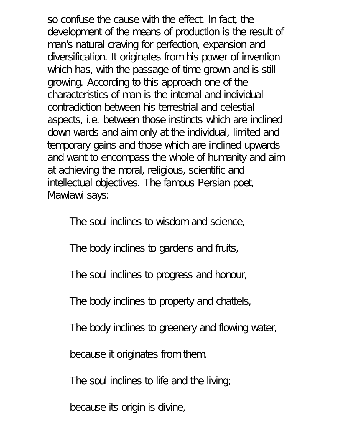so confuse the cause with the effect. In fact, the development of the means of production is the result of man's natural craving for perfection, expansion and diversification. It originates from his power of invention which has, with the passage of time grown and is still growing. According to this approach one of the characteristics of man is the internal and individual contradiction between his terrestrial and celestial aspects, i.e. between those instincts which are inclined down wards and aim only at the individual, limited and temporary gains and those which are inclined upwards and want to encompass the whole of humanity and aim at achieving the moral, religious, scientific and intellectual objectives. The famous Persian poet, Mawlawi says:

The soul inclines to wisdom and science,

The body inclines to gardens and fruits,

The soul inclines to progress and honour,

The body inclines to property and chattels,

The body inclines to greenery and flowing water,

because it originates from them,

The soul inclines to life and the living;

because its origin is divine,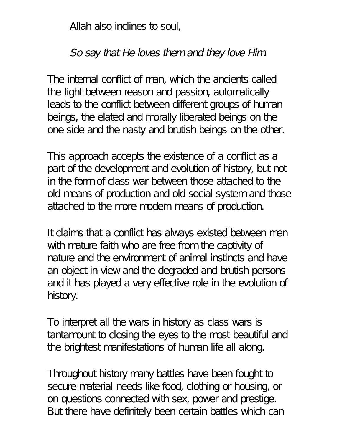Allah also inclines to soul,

So say that He loves them and they love Him.

The internal conflict of man, which the ancients called the fight between reason and passion, automatically leads to the conflict between different groups of human beings, the elated and morally liberated beings on the one side and the nasty and brutish beings on the other.

This approach accepts the existence of a conflict as a part of the development and evolution of history, but not in the form of class war between those attached to the old means of production and old social system and those attached to the more modern means of production.

It claims that a conflict has always existed between men with mature faith who are free from the captivity of nature and the environment of animal instincts and have an object in view and the degraded and brutish persons and it has played a very effective role in the evolution of history.

To interpret all the wars in history as class wars is tantamount to closing the eyes to the most beautiful and the brightest manifestations of human life all along.

Throughout history many battles have been fought to secure material needs like food, clothing or housing, or on questions connected with sex, power and prestige. But there have definitely been certain battles which can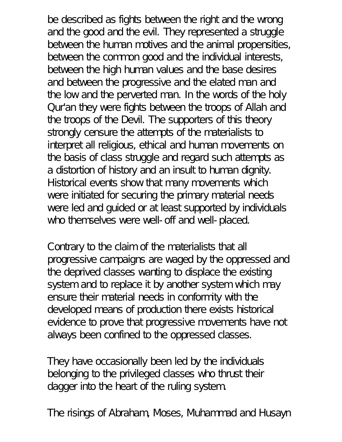be described as fights between the right and the wrong and the good and the evil. They represented a struggle between the human motives and the animal propensities, between the common good and the individual interests, between the high human values and the base desires and between the progressive and the elated man and the low and the perverted man. In the words of the holy Qur'an they were fights between the troops of Allah and the troops of the Devil. The supporters of this theory strongly censure the attempts of the materialists to interpret all religious, ethical and human movements on the basis of class struggle and regard such attempts as a distortion of history and an insult to human dignity. Historical events show that many movements which were initiated for securing the primary material needs were led and guided or at least supported by individuals who themselves were well-off and well-placed.

Contrary to the claim of the materialists that all progressive campaigns are waged by the oppressed and the deprived classes wanting to displace the existing system and to replace it by another system which may ensure their material needs in conformity with the developed means of production there exists historical evidence to prove that progressive movements have not always been confined to the oppressed classes.

They have occasionally been led by the individuals belonging to the privileged classes who thrust their dagger into the heart of the ruling system.

The risings of Abraham, Moses, Muhammad and Husayn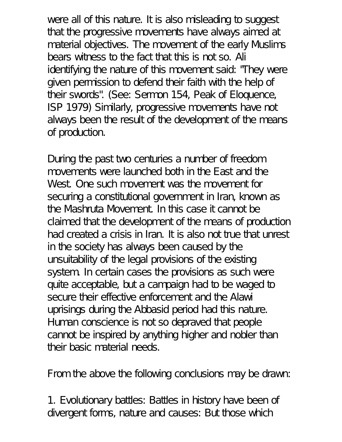were all of this nature. It is also misleading to suggest that the progressive movements have always aimed at material objectives. The movement of the early Muslims bears witness to the fact that this is not so. Ali identifying the nature of this movement said: "They were given permission to defend their faith with the help of their swords". (See: Sermon 154, Peak of Eloquence, ISP 1979) Similarly, progressive movements have not always been the result of the development of the means of production.

During the past two centuries a number of freedom movements were launched both in the East and the West. One such movement was the movement for securing a constitutional government in Iran, known as the Mashruta Movement. In this case it cannot be claimed that the development of the means of production had created a crisis in Iran. It is also not true that unrest in the society has always been caused by the unsuitability of the legal provisions of the existing system. In certain cases the provisions as such were quite acceptable, but a campaign had to be waged to secure their effective enforcement and the Alawi uprisings during the Abbasid period had this nature. Human conscience is not so depraved that people cannot be inspired by anything higher and nobler than their basic material needs.

From the above the following conclusions may be drawn:

1. Evolutionary battles: Battles in history have been of divergent forms, nature and causes: But those which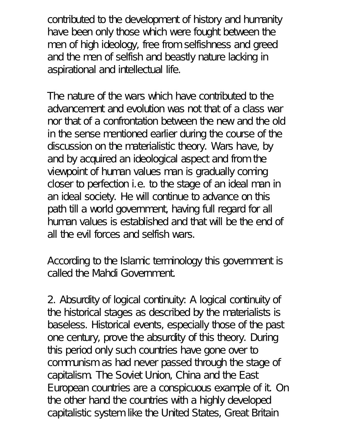contributed to the development of history and humanity have been only those which were fought between the men of high ideology, free from selfishness and greed and the men of selfish and beastly nature lacking in aspirational and intellectual life.

The nature of the wars which have contributed to the advancement and evolution was not that of a class war nor that of a confrontation between the new and the old in the sense mentioned earlier during the course of the discussion on the materialistic theory. Wars have, by and by acquired an ideological aspect and from the viewpoint of human values man is gradually coming closer to perfection i.e. to the stage of an ideal man in an ideal society. He will continue to advance on this path till a world government, having full regard for all human values is established and that will be the end of all the evil forces and selfish wars.

According to the Islamic terminology this government is called the Mahdi Government.

2. Absurdity of logical continuity: A logical continuity of the historical stages as described by the materialists is baseless. Historical events, especially those of the past one century, prove the absurdity of this theory. During this period only such countries have gone over to communism as had never passed through the stage of capitalism. The Soviet Union, China and the East European countries are a conspicuous example of it. On the other hand the countries with a highly developed capitalistic system like the United States, Great Britain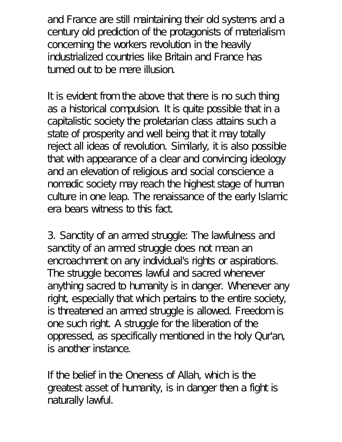and France are still maintaining their old systems and a century old prediction of the protagonists of materialism concerning the workers revolution in the heavily industrialized countries like Britain and France has turned out to be mere illusion.

It is evident from the above that there is no such thing as a historical compulsion. It is quite possible that in a capitalistic society the proletarian class attains such a state of prosperity and well being that it may totally reject all ideas of revolution. Similarly, it is also possible that with appearance of a clear and convincing ideology and an elevation of religious and social conscience a nomadic society may reach the highest stage of human culture in one leap. The renaissance of the early Islamic era bears witness to this fact.

3. Sanctity of an armed struggle: The lawfulness and sanctity of an armed struggle does not mean an encroachment on any individual's rights or aspirations. The struggle becomes lawful and sacred whenever anything sacred to humanity is in danger. Whenever any right, especially that which pertains to the entire society, is threatened an armed struggle is allowed. Freedom is one such right. A struggle for the liberation of the oppressed, as specifically mentioned in the holy Qur'an, is another instance.

If the belief in the Oneness of Allah, which is the greatest asset of humanity, is in danger then a fight is naturally lawful.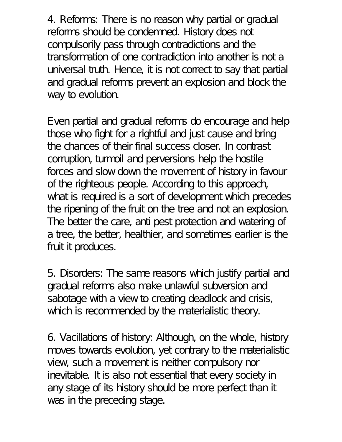4. Reforms: There is no reason why partial or gradual reforms should be condemned. History does not compulsorily pass through contradictions and the transformation of one contradiction into another is not a universal truth. Hence, it is not correct to say that partial and gradual reforms prevent an explosion and block the way to evolution.

Even partial and gradual reforms do encourage and help those who fight for a rightful and just cause and bring the chances of their final success closer. In contrast corruption, turmoil and perversions help the hostile forces and slow down the movement of history in favour of the righteous people. According to this approach, what is required is a sort of development which precedes the ripening of the fruit on the tree and not an explosion. The better the care, anti pest protection and watering of a tree, the better, healthier, and sometimes earlier is the fruit it produces.

5. Disorders: The same reasons which justify partial and gradual reforms also make unlawful subversion and sabotage with a view to creating deadlock and crisis, which is recommended by the materialistic theory.

6. Vacillations of history: Although, on the whole, history moves towards evolution, yet contrary to the materialistic view, such a movement is neither compulsory nor inevitable. It is also not essential that every society in any stage of its history should be more perfect than it was in the preceding stage.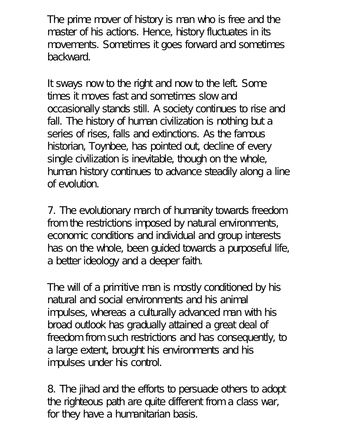The prime mover of history is man who is free and the master of his actions. Hence, history fluctuates in its movements. Sometimes it goes forward and sometimes backward.

It sways now to the right and now to the left. Some times it moves fast and sometimes slow and occasionally stands still. A society continues to rise and fall. The history of human civilization is nothing but a series of rises, falls and extinctions. As the famous historian, Toynbee, has pointed out, decline of every single civilization is inevitable, though on the whole, human history continues to advance steadily along a line of evolution.

7. The evolutionary march of humanity towards freedom from the restrictions imposed by natural environments, economic conditions and individual and group interests has on the whole, been guided towards a purposeful life, a better ideology and a deeper faith.

The will of a primitive man is mostly conditioned by his natural and social environments and his animal impulses, whereas a culturally advanced man with his broad outlook has gradually attained a great deal of freedom from such restrictions and has consequently, to a large extent, brought his environments and his impulses under his control.

8. The jihad and the efforts to persuade others to adopt the righteous path are quite different from a class war, for they have a humanitarian basis.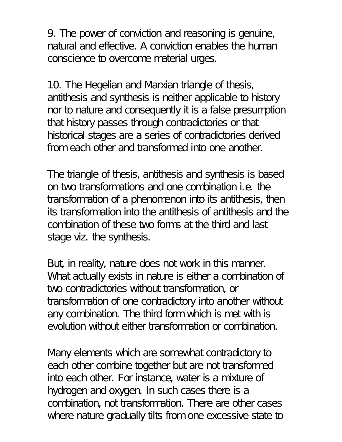9. The power of conviction and reasoning is genuine, natural and effective. A conviction enables the human conscience to overcome material urges.

10. The Hegelian and Marxian triangle of thesis, antithesis and synthesis is neither applicable to history nor to nature and consequently it is a false presumption that history passes through contradictories or that historical stages are a series of contradictories derived from each other and transformed into one another.

The triangle of thesis, antithesis and synthesis is based on two transformations and one combination i.e. the transformation of a phenomenon into its antithesis, then its transformation into the antithesis of antithesis and the combination of these two forms at the third and last stage viz. the synthesis.

But, in reality, nature does not work in this manner. What actually exists in nature is either a combination of two contradictories without transformation, or transformation of one contradictory into another without any combination. The third form which is met with is evolution without either transformation or combination.

Many elements which are somewhat contradictory to each other combine together but are not transformed into each other. For instance, water is a mixture of hydrogen and oxygen. In such cases there is a combination, not transformation. There are other cases where nature gradually tilts from one excessive state to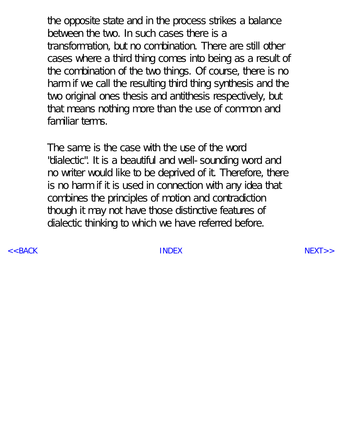the opposite state and in the process strikes a balance between the two. In such cases there is a transformation, but no combination. There are still other cases where a third thing comes into being as a result of the combination of the two things. Of course, there is no harm if we call the resulting third thing synthesis and the two original ones thesis and antithesis respectively, but that means nothing more than the use of common and familiar terms.

The same is the case with the use of the word "dialectic". It is a beautiful and well-sounding word and no writer would like to be deprived of it. Therefore, there is no harm if it is used in connection with any idea that combines the principles of motion and contradiction though it may not have those distinctive features of dialectic thinking to which we have referred before.

[<<BACK](#page-67-0) [INDEX](#page-0-0) [NEXT>>](#page-94-0)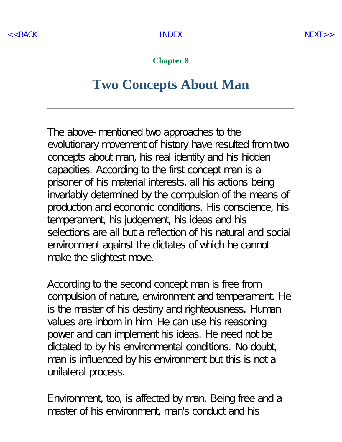#### **Chapter 8**

# <span id="page-94-0"></span>**Two Concepts About Man**

The above-mentioned two approaches to the evolutionary movement of history have resulted from two concepts about man, his real identity and his hidden capacities. According to the first concept man is a prisoner of his material interests, all his actions being invariably determined by the compulsion of the means of production and economic conditions. His conscience, his temperament, his judgement, his ideas and his selections are all but a reflection of his natural and social environment against the dictates of which he cannot make the slightest move.

According to the second concept man is free from compulsion of nature, environment and temperament. He is the master of his destiny and righteousness. Human values are inborn in him. He can use his reasoning power and can implement his ideas. He need not be dictated to by his environmental conditions. No doubt, man is influenced by his environment but this is not a unilateral process.

Environment, too, is affected by man. Being free and a master of his environment, man's conduct and his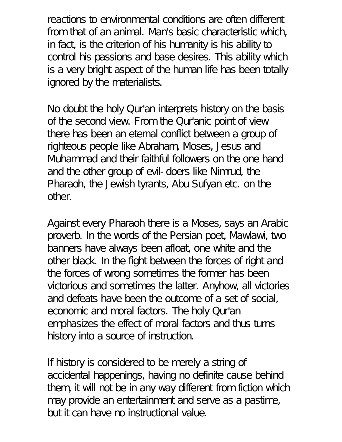reactions to environmental conditions are often different from that of an animal. Man's basic characteristic which, in fact, is the criterion of his humanity is his ability to control his passions and base desires. This ability which is a very bright aspect of the human life has been totally ignored by the materialists.

No doubt the holy Qur'an interprets history on the basis of the second view. From the Qur'anic point of view there has been an eternal conflict between a group of righteous people like Abraham, Moses, Jesus and Muhammad and their faithful followers on the one hand and the other group of evil-doers like Nimrud, the Pharaoh, the Jewish tyrants, Abu Sufyan etc. on the other.

Against every Pharaoh there is a Moses, says an Arabic proverb. In the words of the Persian poet, Mawlawi, two banners have always been afloat, one white and the other black. In the fight between the forces of right and the forces of wrong sometimes the former has been victorious and sometimes the latter. Anyhow, all victories and defeats have been the outcome of a set of social, economic and moral factors. The holy Qur'an emphasizes the effect of moral factors and thus turns history into a source of instruction.

If history is considered to be merely a string of accidental happenings, having no definite cause behind them, it will not be in any way different from fiction which may provide an entertainment and serve as a pastime, but it can have no instructional value.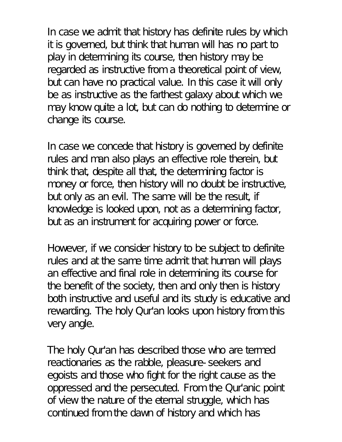In case we admit that history has definite rules by which it is governed, but think that human will has no part to play in determining its course, then history may be regarded as instructive from a theoretical point of view, but can have no practical value. In this case it will only be as instructive as the farthest galaxy about which we may know quite a lot, but can do nothing to determine or change its course.

In case we concede that history is governed by definite rules and man also plays an effective role therein, but think that, despite all that, the determining factor is money or force, then history will no doubt be instructive, but only as an evil. The same will be the result, if knowledge is looked upon, not as a determining factor, but as an instrument for acquiring power or force.

However, if we consider history to be subject to definite rules and at the same time admit that human will plays an effective and final role in determining its course for the benefit of the society, then and only then is history both instructive and useful and its study is educative and rewarding. The holy Qur'an looks upon history from this very angle.

The holy Qur'an has described those who are termed reactionaries as the rabble, pleasure-seekers and egoists and those who fight for the right cause as the oppressed and the persecuted. From the Qur'anic point of view the nature of the eternal struggle, which has continued from the dawn of history and which has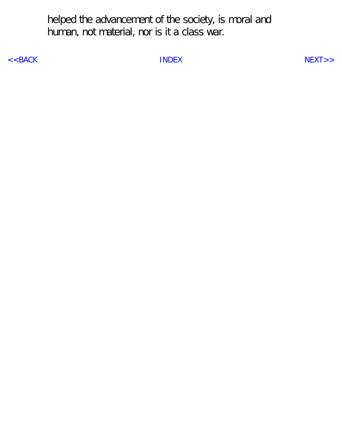helped the advancement of the society, is moral and human, not material, nor is it a class war.

[<<BACK](#page-82-0) [NEXT>>](#page-98-0)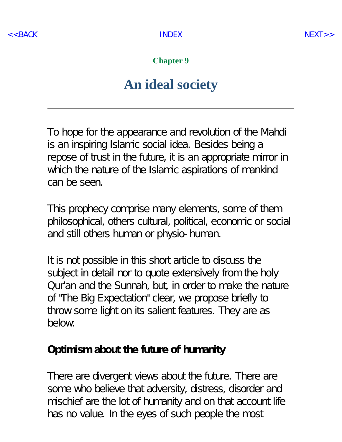### **Chapter 9**

# **An ideal society**

<span id="page-98-0"></span>To hope for the appearance and revolution of the Mahdi is an inspiring Islamic social idea. Besides being a repose of trust in the future, it is an appropriate mirror in which the nature of the Islamic aspirations of mankind can be seen.

This prophecy comprise many elements, some of them philosophical, others cultural, political, economic or social and still others human or physio-human.

It is not possible in this short article to discuss the subject in detail nor to quote extensively from the holy Qur'an and the Sunnah, but, in order to make the nature of "The Big Expectation" clear, we propose briefly to throw some light on its salient features. They are as below:

## **Optimism about the future of humanity**

There are divergent views about the future. There are some who believe that adversity, distress, disorder and mischief are the lot of humanity and on that account life has no value. In the eyes of such people the most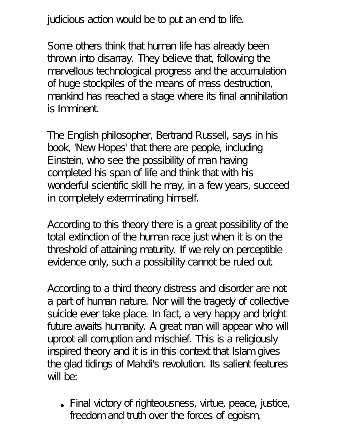judicious action would be to put an end to life.

Some others think that human life has already been thrown into disarray. They believe that, following the marvellous technological progress and the accumulation of huge stockpiles of the means of mass destruction, mankind has reached a stage where its final annihilation is Imminent.

The English philosopher, Bertrand Russell, says in his book, 'New Hopes' that there are people, including Einstein, who see the possibility of man having completed his span of life and think that with his wonderful scientific skill he may, in a few years, succeed in completely exterminating himself.

According to this theory there is a great possibility of the total extinction of the human race just when it is on the threshold of attaining maturity. If we rely on perceptible evidence only, such a possibility cannot be ruled out.

According to a third theory distress and disorder are not a part of human nature. Nor will the tragedy of collective suicide ever take place. In fact, a very happy and bright future awaits humanity. A great man will appear who will uproot all corruption and mischief. This is a religiously inspired theory and it is in this context that Islam gives the glad tidings of Mahdi's revolution. Its salient features will be:

• Final victory of righteousness, virtue, peace, justice, freedom and truth over the forces of egoism,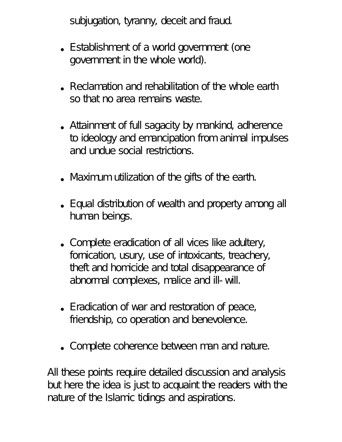subjugation, tyranny, deceit and fraud.

- Establishment of a world government (one government in the whole world).
- Reclamation and rehabilitation of the whole earth so that no area remains waste.
- Attainment of full sagacity by mankind, adherence to ideology and emancipation from animal impulses and undue social restrictions.
- Maximum utilization of the gifts of the earth.
- Equal distribution of wealth and property among all human beings.
- Complete eradication of all vices like adultery, fornication, usury, use of intoxicants, treachery, theft and homicide and total disappearance of abnormal complexes, malice and ill-will.
- Eradication of war and restoration of peace, friendship, co operation and benevolence.
- Complete coherence between man and nature.

All these points require detailed discussion and analysis but here the idea is just to acquaint the readers with the nature of the Islamic tidings and aspirations.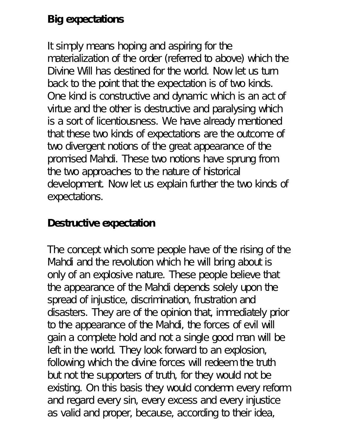# **Big expectations**

It simply means hoping and aspiring for the materialization of the order (referred to above) which the Divine Will has destined for the world. Now let us turn back to the point that the expectation is of two kinds. One kind is constructive and dynamic which is an act of virtue and the other is destructive and paralysing which is a sort of licentiousness. We have already mentioned that these two kinds of expectations are the outcome of two divergent notions of the great appearance of the promised Mahdi. These two notions have sprung from the two approaches to the nature of historical development. Now let us explain further the two kinds of expectations.

## **Destructive expectation**

The concept which some people have of the rising of the Mahdi and the revolution which he will bring about is only of an explosive nature. These people believe that the appearance of the Mahdi depends solely upon the spread of injustice, discrimination, frustration and disasters. They are of the opinion that, immediately prior to the appearance of the Mahdi, the forces of evil will gain a complete hold and not a single good man will be left in the world. They look forward to an explosion, following which the divine forces will redeem the truth but not the supporters of truth, for they would not be existing. On this basis they would condemn every reform and regard every sin, every excess and every injustice as valid and proper, because, according to their idea,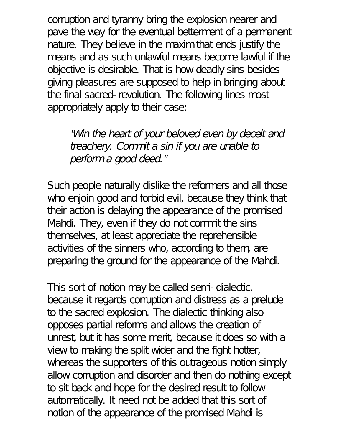corruption and tyranny bring the explosion nearer and pave the way for the eventual betterment of a permanent nature. They believe in the maxim that ends justify the means and as such unlawful means become lawful if the objective is desirable. That is how deadly sins besides giving pleasures are supposed to help in bringing about the final sacred-revolution. The following lines most appropriately apply to their case:

"Win the heart of your beloved even by deceit and treachery. Commit a sin if you are unable to perform a good deed."

Such people naturally dislike the reformers and all those who enjoin good and forbid evil, because they think that their action is delaying the appearance of the promised Mahdi. They, even if they do not commit the sins themselves, at least appreciate the reprehensible activities of the sinners who, according to them, are preparing the ground for the appearance of the Mahdi.

This sort of notion may be called semi-dialectic, because it regards corruption and distress as a prelude to the sacred explosion. The dialectic thinking also opposes partial reforms and allows the creation of unrest, but it has some merit, because it does so with a view to making the split wider and the fight hotter, whereas the supporters of this outrageous notion simply allow corruption and disorder and then do nothing except to sit back and hope for the desired result to follow automatically. It need not be added that this sort of notion of the appearance of the promised Mahdi is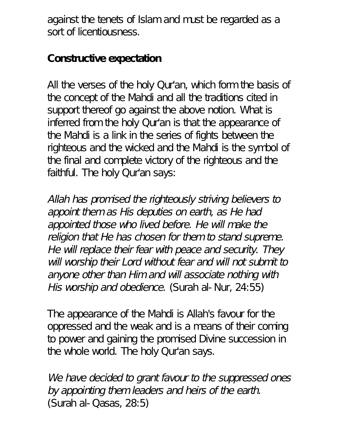against the tenets of Islam and must be regarded as a sort of licentiousness.

## **Constructive expectation**

All the verses of the holy Qur'an, which form the basis of the concept of the Mahdi and all the traditions cited in support thereof go against the above notion. What is inferred from the holy Qur'an is that the appearance of the Mahdi is a link in the series of fights between the righteous and the wicked and the Mahdi is the symbol of the final and complete victory of the righteous and the faithful. The holy Qur'an says:

Allah has promised the righteously striving believers to appoint them as His deputies on earth, as He had appointed those who lived before. He will make the religion that He has chosen for them to stand supreme. He will replace their fear with peace and security. They will worship their Lord without fear and will not submit to anyone other than Him and will associate nothing with His worship and obedience. (Surah al-Nur, 24:55)

The appearance of the Mahdi is Allah's favour for the oppressed and the weak and is a means of their coming to power and gaining the promised Divine succession in the whole world. The holy Qur'an says.

We have decided to grant favour to the suppressed ones by appointing them leaders and heirs of the earth. (Surah al-Qasas, 28:5)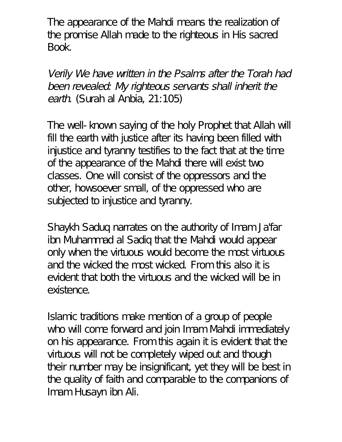The appearance of the Mahdi means the realization of the promise Allah made to the righteous in His sacred Book.

Verily We have written in the Psalms after the Torah had been revealed: My righteous servants shall inherit the earth. (Surah al Anbia, 21:105)

The well-known saying of the holy Prophet that Allah will fill the earth with justice after its having been filled with injustice and tyranny testifies to the fact that at the time of the appearance of the Mahdi there will exist two classes. One will consist of the oppressors and the other, howsoever small, of the oppressed who are subjected to injustice and tyranny.

Shaykh Saduq narrates on the authority of Imam Ja'far ibn Muhammad al Sadiq that the Mahdi would appear only when the virtuous would become the most virtuous and the wicked the most wicked. From this also it is evident that both the virtuous and the wicked will be in existence.

Islamic traditions make mention of a group of people who will come forward and join Imam Mahdi immediately on his appearance. From this again it is evident that the virtuous will not be completely wiped out and though their number may be insignificant, yet they will be best in the quality of faith and comparable to the companions of Imam Husayn ibn Ali.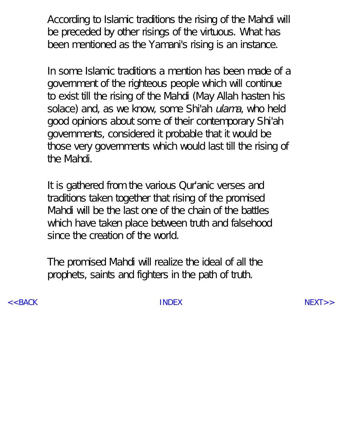According to Islamic traditions the rising of the Mahdi will be preceded by other risings of the virtuous. What has been mentioned as the Yamani's rising is an instance.

In some Islamic traditions a mention has been made of a government of the righteous people which will continue to exist till the rising of the Mahdi (May Allah hasten his solace) and, as we know, some Shi'ah ulama, who held good opinions about some of their contemporary Shi'ah governments, considered it probable that it would be those very governments which would last till the rising of the Mahdi.

It is gathered from the various Qur'anic verses and traditions taken together that rising of the promised Mahdi will be the last one of the chain of the battles which have taken place between truth and falsehood since the creation of the world.

The promised Mahdi will realize the ideal of all the prophets, saints and fighters in the path of truth.

[<<BACK](#page-94-0) [NEXT>>](#page-106-0)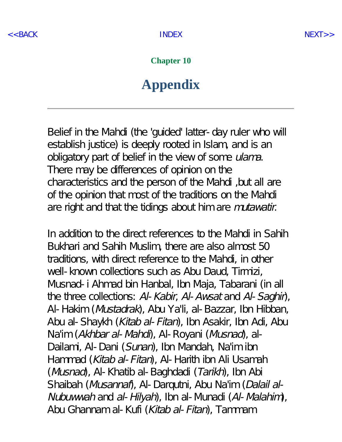#### **Chapter 10**

# **Appendix**

<span id="page-106-0"></span>Belief in the Mahdi (the 'guided' latter-day ruler who will establish justice) is deeply rooted in Islam, and is an obligatory part of belief in the view of some *ulama*. There may be differences of opinion on the characteristics and the person of the Mahdi ,but all are of the opinion that most of the traditions on the Mahdi are right and that the tidings about him are *mutawatir*.

In addition to the direct references to the Mahdi in Sahih Bukhari and Sahih Muslim, there are also almost 50 traditions, with direct reference to the Mahdi, in other well-known collections such as Abu Daud, Tirmizi, Musnad-i Ahmad bin Hanbal, Ibn Maja, Tabarani (in all the three collections: Al-Kabir, Al-Awsat and Al-Saghir), Al-Hakim (Mustadrak), Abu Ya'li, al-Bazzar, Ibn Hibban, Abu al-Shaykh (Kitab al-Fitan), Ibn Asakir, Ibn Adi, Abu Na'im (Akhbar al-Mahdi), Al-Royani (Musnad), al-Dailami, Al-Dani (Sunan), Ibn Mandah, Na'im ibn Hammad (Kitab al-Fitan), Al-Harith ibn Ali Usamah (Musnad), Al-Khatib al-Baghdadi (Tarikh), Ibn Abi Shaibah (Musannaf), Al-Darqutni, Abu Na'im (Dalail al-Nubuwwah and al-Hilyah), Ibn al-Munadi (Al-Malahim), Abu Ghannam al-Kufi (Kitab al-Fitan), Tammam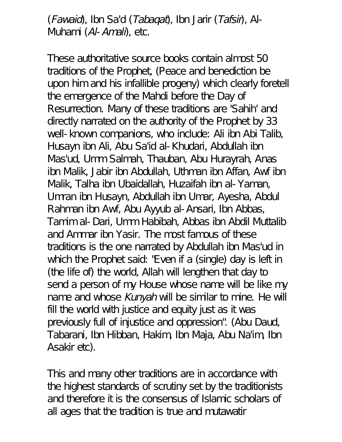(Fawaid), Ibn Sa'd (Tabaqat), Ibn Jarir (Tafsir), Al-Muhami (AI-Amali), etc.

These authoritative source books contain almost 50 traditions of the Prophet, (Peace and benediction be upon him and his infallible progeny) which clearly foretell the emergence of the Mahdi before the Day of Resurrection. Many of these traditions are 'Sahih' and directly narrated on the authority of the Prophet by 33 well-known companions, who include: Ali ibn Abi Talib, Husayn ibn Ali, Abu Sa'id al-Khudari, Abdullah ibn Mas'ud, Umm Salmah, Thauban, Abu Hurayrah, Anas ibn Malik, Jabir ibn Abdullah, Uthman ibn Affan, Awf ibn Malik, Talha ibn Ubaidallah, Huzaifah ibn al-Yaman, Umran ibn Husayn, Abdullah ibn Umar, Ayesha, Abdul Rahman ibn Awf, Abu Ayyub al-Ansari, Ibn Abbas, Tamim al-Dari, Umm Habibah, Abbas ibn Abdil Muttalib and Ammar ibn Yasir. The most famous of these traditions is the one narrated by Abdullah ibn Mas'ud in which the Prophet said: "Even if a (single) day is left in (the life of) the world, Allah will lengthen that day to send a person of my House whose name will be like my name and whose *Kunyah* will be similar to mine. He will fill the world with justice and equity just as it was previously full of injustice and oppression". (Abu Daud, Tabarani, Ibn Hibban, Hakim, Ibn Maja, Abu Na'im, Ibn Asakir etc).

This and many other traditions are in accordance with the highest standards of scrutiny set by the traditionists and therefore it is the consensus of Islamic scholars of all ages that the tradition is true and mutawatir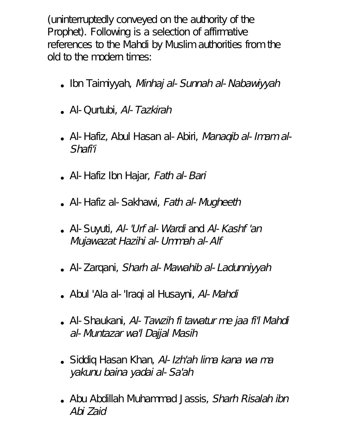(uninterruptedly conveyed on the authority of the Prophet). Following is a selection of affirmative references to the Mahdi by Muslim authorities from the old to the modern times:

- Ibn Taimiyyah, *Minhaj al-Sunnah al-Nabawiyyah*
- Al-Qurtubi, Al-Tazkirah
- Al-Hafiz, Abul Hasan al-Abiri, *Manaqib al-Imam al-*Shafi'i
- Al-Hafiz Ibn Hajar, Fath al-Bari
- Al-Hafiz al-Sakhawi, Fath al-Mugheeth
- Al-Suyuti, Al-'Urf al-Wardi and Al-Kashf 'an Mujawazat Hazihi al-Ummah al-Alf
- Al-Zarqani, Sharh al-Mawahib al-Ladunniyyah
- Abul 'Ala al-'Iraqi al Husayni, Al-Mahdi
- Al-Shaukani, Al-Tawzih fi tawatur me jaa fi'l Mahdi al-Muntazar wa'l Dajjal Masih
- Siddiq Hasan Khan, Al-Izh'ah lima kana wa ma yakunu baina yadai al-Sa'ah
- Abu Abdillah Muhammad Jassis, Sharh Risalah ibn Abi Zaid